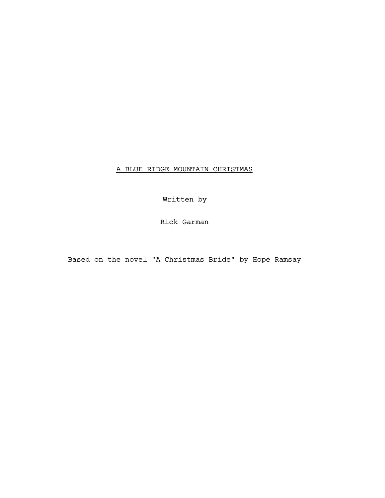# A BLUE RIDGE MOUNTAIN CHRISTMAS

Written by

Rick Garman

Based on the novel "A Christmas Bride" by Hope Ramsay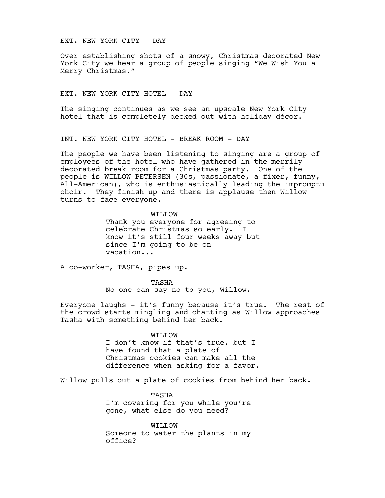EXT. NEW YORK CITY - DAY

Over establishing shots of a snowy, Christmas decorated New York City we hear a group of people singing "We Wish You a Merry Christmas."

EXT. NEW YORK CITY HOTEL - DAY

The singing continues as we see an upscale New York City hotel that is completely decked out with holiday décor.

INT. NEW YORK CITY HOTEL - BREAK ROOM - DAY

The people we have been listening to singing are a group of employees of the hotel who have gathered in the merrily decorated break room for a Christmas party. One of the people is WILLOW PETERSEN (30s, passionate, a fixer, funny, All-American), who is enthusiastically leading the impromptu choir. They finish up and there is applause then Willow turns to face everyone.

> WILLOW Thank you everyone for agreeing to celebrate Christmas so early. I know it's still four weeks away but since I'm going to be on vacation...

A co-worker, TASHA, pipes up.

TASHA No one can say no to you, Willow.

Everyone laughs - it's funny because it's true. The rest of the crowd starts mingling and chatting as Willow approaches Tasha with something behind her back.

> WILLOW I don't know if that's true, but I have found that a plate of Christmas cookies can make all the difference when asking for a favor.

Willow pulls out a plate of cookies from behind her back.

TASHA I'm covering for you while you're gone, what else do you need?

WILLOW Someone to water the plants in my office?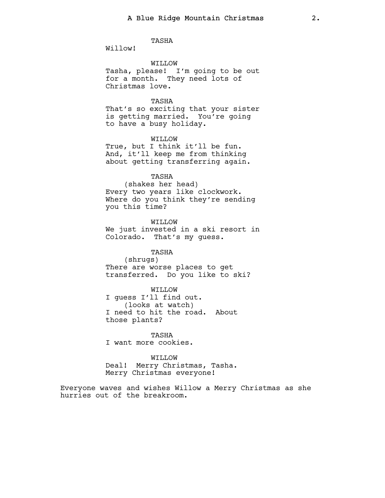TASHA

Willow!

WILLOW Tasha, please! I'm going to be out for a month. They need lots of Christmas love.

### TASHA

That's so exciting that your sister is getting married. You're going to have a busy holiday.

WILLOW True, but I think it'll be fun. And, it'll keep me from thinking about getting transferring again.

TASHA (shakes her head) Every two years like clockwork.

Where do you think they're sending you this time?

WILLOW We just invested in a ski resort in Colorado. That's my guess.

TASHA (shrugs) There are worse places to get transferred. Do you like to ski?

WILLOW I guess I'll find out. (looks at watch) I need to hit the road. About those plants?

TASHA I want more cookies.

WILLOW

Deal! Merry Christmas, Tasha. Merry Christmas everyone!

Everyone waves and wishes Willow a Merry Christmas as she hurries out of the breakroom.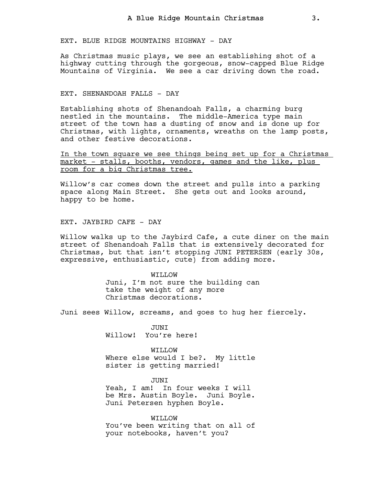EXT. BLUE RIDGE MOUNTAINS HIGHWAY - DAY

As Christmas music plays, we see an establishing shot of a highway cutting through the gorgeous, snow-capped Blue Ridge Mountains of Virginia. We see a car driving down the road.

### EXT. SHENANDOAH FALLS - DAY

Establishing shots of Shenandoah Falls, a charming burg nestled in the mountains. The middle-America type main street of the town has a dusting of snow and is done up for Christmas, with lights, ornaments, wreaths on the lamp posts, and other festive decorations.

In the town square we see things being set up for a Christmas market - stalls, booths, vendors, games and the like, plus room for a big Christmas tree.

Willow's car comes down the street and pulls into a parking space along Main Street. She gets out and looks around, happy to be home.

EXT. JAYBIRD CAFE - DAY

Willow walks up to the Jaybird Cafe, a cute diner on the main street of Shenandoah Falls that is extensively decorated for Christmas, but that isn't stopping JUNI PETERSEN (early 30s, expressive, enthusiastic, cute) from adding more.

> WILLOW Juni, I'm not sure the building can take the weight of any more Christmas decorations.

Juni sees Willow, screams, and goes to hug her fiercely.

JUNI Willow! You're here!

WILLOW Where else would I be?. My little sister is getting married!

JUNI Yeah, I am! In four weeks I will be Mrs. Austin Boyle. Juni Boyle. Juni Petersen hyphen Boyle.

WILLOW You've been writing that on all of your notebooks, haven't you?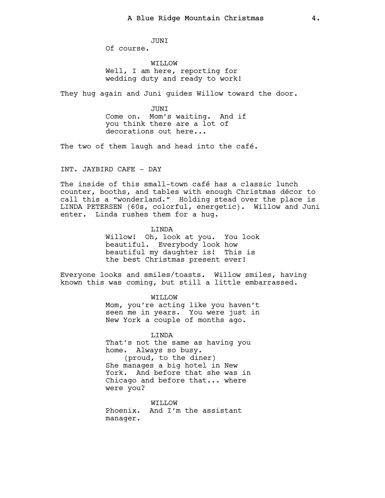JUNI Of course.

WILLOW Well, I am here, reporting for wedding duty and ready to work!

They hug again and Juni guides Willow toward the door.

**JUNT** Come on. Mom's waiting. And if you think there are a lot of decorations out here...

The two of them laugh and head into the café.

INT. JAYBIRD CAFE - DAY

The inside of this small-town café has a classic lunch counter, booths, and tables with enough Christmas décor to call this a "wonderland." Holding stead over the place is LINDA PETERSEN (60s, colorful, energetic). Willow and Juni enter. Linda rushes them for a hug.

> LINDA Willow! Oh, look at you. You look beautiful. Everybody look how beautiful my daughter is! This is the best Christmas present ever!

Everyone looks and smiles/toasts. Willow smiles, having known this was coming, but still a little embarrassed.

> WILLOW Mom, you're acting like you haven't seen me in years. You were just in New York a couple of months ago.

LINDA That's not the same as having you home. Always so busy. (proud, to the diner) She manages a big hotel in New York. And before that she was in Chicago and before that... where were you?

WILLOW Phoenix. And I'm the assistant manager.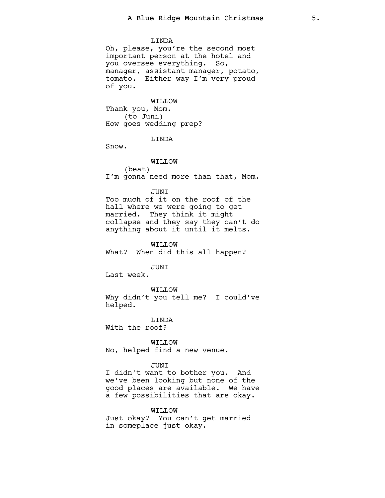#### LINDA

Oh, please, you're the second most important person at the hotel and you oversee everything. So, manager, assistant manager, potato, tomato. Either way I'm very proud of you.

WILLOW Thank you, Mom. (to Juni) How goes wedding prep?

# LINDA

Snow.

WILLOW (beat) I'm gonna need more than that, Mom.

### **JUNT**

Too much of it on the roof of the hall where we were going to get married. They think it might collapse and they say they can't do anything about it until it melts.

WILLOW

What? When did this all happen?

#### JUNI

Last week.

WILLOW Why didn't you tell me? I could've helped.

LINDA

With the roof?

WILLOW No, helped find a new venue.

#### JUNI

I didn't want to bother you. And we've been looking but none of the good places are available. We have a few possibilities that are okay.

#### WILLOW

Just okay? You can't get married in someplace just okay.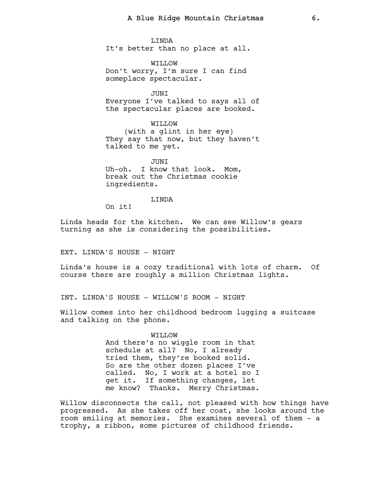LINDA It's better than no place at all.

WILLOW Don't worry, I'm sure I can find someplace spectacular.

JUNI Everyone I've talked to says all of the spectacular places are booked.

WILLOW

(with a glint in her eye) They say that now, but they haven't talked to me yet.

**JUNT** Uh-oh. I know that look. Mom, break out the Christmas cookie ingredients.

LINDA

On it!

Linda heads for the kitchen. We can see Willow's gears turning as she is considering the possibilities.

EXT. LINDA'S HOUSE - NIGHT

Linda's house is a cozy traditional with lots of charm. Of course there are roughly a million Christmas lights.

INT. LINDA'S HOUSE - WILLOW'S ROOM - NIGHT

Willow comes into her childhood bedroom lugging a suitcase and talking on the phone.

> WILLOW And there's no wiggle room in that schedule at all? No, I already tried them, they're booked solid. So are the other dozen places I've called. No, I work at a hotel so I get it. If something changes, let me know? Thanks. Merry Christmas.

Willow disconnects the call, not pleased with how things have progressed. As she takes off her coat, she looks around the room smiling at memories. She examines several of them - a trophy, a ribbon, some pictures of childhood friends.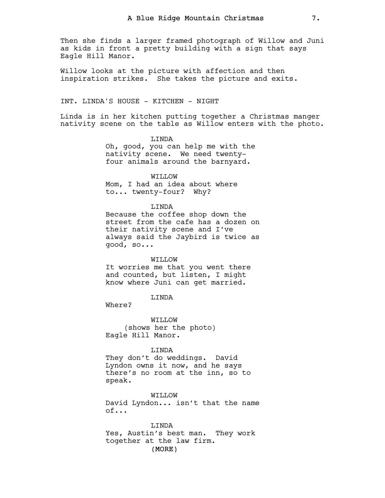Then she finds a larger framed photograph of Willow and Juni as kids in front a pretty building with a sign that says Eagle Hill Manor.

Willow looks at the picture with affection and then inspiration strikes. She takes the picture and exits.

### INT. LINDA'S HOUSE - KITCHEN - NIGHT

Linda is in her kitchen putting together a Christmas manger nativity scene on the table as Willow enters with the photo.

> LINDA Oh, good, you can help me with the nativity scene. We need twentyfour animals around the barnyard.

> > WILLOW

Mom, I had an idea about where to... twenty-four? Why?

### LINDA

Because the coffee shop down the street from the cafe has a dozen on their nativity scene and I've always said the Jaybird is twice as good, so...

#### WILLOW

It worries me that you went there and counted, but listen, I might know where Juni can get married.

### LINDA

Where?

WILLOW (shows her the photo) Eagle Hill Manor.

#### LINDA

They don't do weddings. David Lyndon owns it now, and he says there's no room at the inn, so to speak.

WILLOW David Lyndon... isn't that the name of...

(MORE) LINDA Yes, Austin's best man. They work together at the law firm.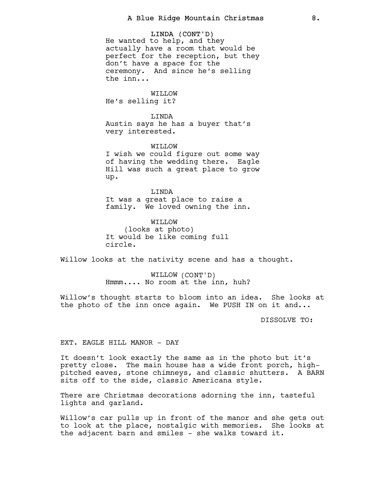LINDA (CONT'D) He wanted to help, and they actually have a room that would be perfect for the reception, but they don't have a space for the ceremony. And since he's selling the inn...

WILLOW He's selling it?

LINDA Austin says he has a buyer that's very interested.

WILLOW I wish we could figure out some way of having the wedding there. Eagle Hill was such a great place to grow up.

LINDA It was a great place to raise a family. We loved owning the inn.

WILLOW (looks at photo) It would be like coming full circle.

Willow looks at the nativity scene and has a thought.

WILLOW (CONT'D) Hmmm.... No room at the inn, huh?

Willow's thought starts to bloom into an idea. She looks at the photo of the inn once again. We PUSH IN on it and...

DISSOLVE TO:

### EXT. EAGLE HILL MANOR - DAY

It doesn't look exactly the same as in the photo but it's pretty close. The main house has a wide front porch, highpitched eaves, stone chimneys, and classic shutters. A BARN sits off to the side, classic Americana style.

There are Christmas decorations adorning the inn, tasteful lights and garland.

Willow's car pulls up in front of the manor and she gets out to look at the place, nostalgic with memories. She looks at the adjacent barn and smiles - she walks toward it.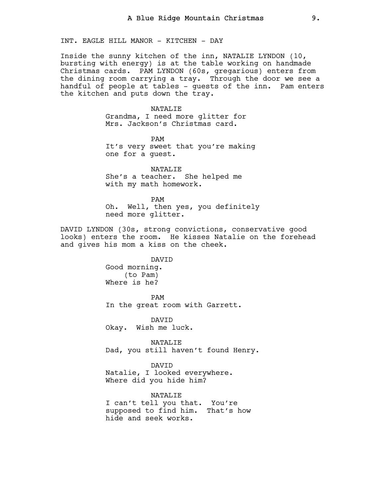INT. EAGLE HILL MANOR - KITCHEN - DAY

Inside the sunny kitchen of the inn, NATALIE LYNDON (10, bursting with energy) is at the table working on handmade Christmas cards. PAM LYNDON (60s, gregarious) enters from the dining room carrying a tray. Through the door we see a handful of people at tables - guests of the inn. Pam enters the kitchen and puts down the tray.

> NATALIE Grandma, I need more glitter for Mrs. Jackson's Christmas card.

PAM It's very sweet that you're making one for a guest.

NATALIE She's a teacher. She helped me with my math homework.

PAM Oh. Well, then yes, you definitely need more glitter.

DAVID LYNDON (30s, strong convictions, conservative good looks) enters the room. He kisses Natalie on the forehead and gives his mom a kiss on the cheek.

DAVID

Good morning. (to Pam) Where is he?

PAM In the great room with Garrett.

DAVID Okay. Wish me luck.

NATALIE Dad, you still haven't found Henry.

DAVID Natalie, I looked everywhere. Where did you hide him?

NATALIE

I can't tell you that. You're supposed to find him. That's how hide and seek works.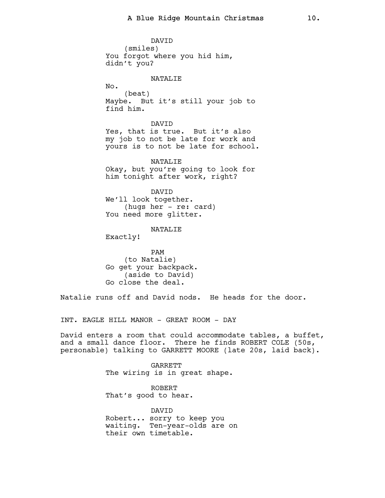DAVID (smiles) You forgot where you hid him, didn't you?

#### NATALIE

No.

(beat) Maybe. But it's still your job to find him.

DAVID Yes, that is true. But it's also my job to not be late for work and yours is to not be late for school.

NATALIE Okay, but you're going to look for him tonight after work, right?

DAVID We'll look together. (hugs her - re: card) You need more glitter.

NATALIE

Exactly!

PAM (to Natalie) Go get your backpack. (aside to David) Go close the deal.

Natalie runs off and David nods. He heads for the door.

INT. EAGLE HILL MANOR - GREAT ROOM - DAY

David enters a room that could accommodate tables, a buffet, and a small dance floor. There he finds ROBERT COLE (50s, personable) talking to GARRETT MOORE (late 20s, laid back).

> GARRETT The wiring is in great shape.

ROBERT That's good to hear.

DAVID Robert... sorry to keep you waiting. Ten-year-olds are on their own timetable.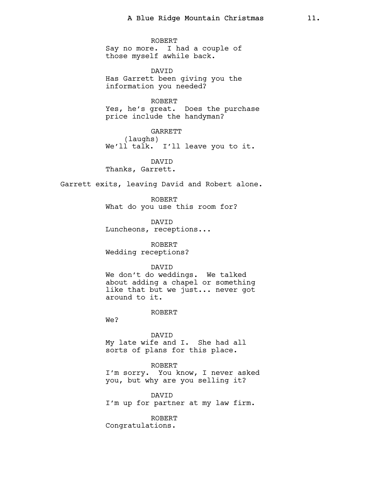ROBERT

Say no more. I had a couple of those myself awhile back.

DAVID Has Garrett been giving you the information you needed?

ROBERT Yes, he's great. Does the purchase price include the handyman?

GARRETT (laughs) We'll talk. I'll leave you to it.

**DAVTD** Thanks, Garrett.

Garrett exits, leaving David and Robert alone.

ROBERT What do you use this room for?

DAVID Luncheons, receptions...

ROBERT Wedding receptions?

DAVID

We don't do weddings. We talked about adding a chapel or something like that but we just... never got around to it.

ROBERT

We?

DAVID My late wife and I. She had all sorts of plans for this place.

ROBERT I'm sorry. You know, I never asked you, but why are you selling it?

DAVID I'm up for partner at my law firm.

ROBERT

Congratulations.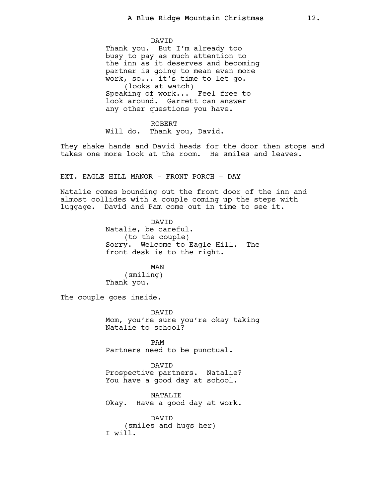DAVID Thank you. But I'm already too busy to pay as much attention to the inn as it deserves and becoming partner is going to mean even more work, so... it's time to let go. (looks at watch) Speaking of work... Feel free to look around. Garrett can answer any other questions you have.

ROBERT Will do. Thank you, David.

They shake hands and David heads for the door then stops and takes one more look at the room. He smiles and leaves.

EXT. EAGLE HILL MANOR - FRONT PORCH - DAY

Natalie comes bounding out the front door of the inn and almost collides with a couple coming up the steps with luggage. David and Pam come out in time to see it.

> DAVID Natalie, be careful. (to the couple) Sorry. Welcome to Eagle Hill. The front desk is to the right.

MAN (smiling) Thank you.

The couple goes inside.

DAVID Mom, you're sure you're okay taking Natalie to school?

PAM Partners need to be punctual.

DAVID Prospective partners. Natalie? You have a good day at school.

NATALIE Okay. Have a good day at work.

DAVID (smiles and hugs her) I will.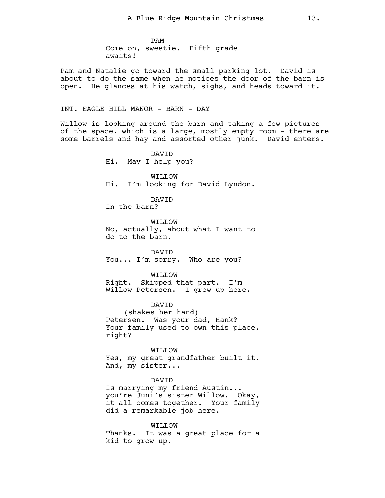PAM Come on, sweetie. Fifth grade awaits!

Pam and Natalie go toward the small parking lot. David is about to do the same when he notices the door of the barn is open. He glances at his watch, sighs, and heads toward it.

# INT. EAGLE HILL MANOR - BARN - DAY

Willow is looking around the barn and taking a few pictures of the space, which is a large, mostly empty room - there are some barrels and hay and assorted other junk. David enters.

> DAVID Hi. May I help you? WILLOW Hi. I'm looking for David Lyndon.

DAVID In the barn?

WILLOW No, actually, about what I want to do to the barn.

DAVID You... I'm sorry. Who are you?

WILLOW Right. Skipped that part. I'm

Willow Petersen. I grew up here.

DAVID (shakes her hand) Petersen. Was your dad, Hank? Your family used to own this place, right?

WILLOW Yes, my great grandfather built it. And, my sister...

DAVID

Is marrying my friend Austin... you're Juni's sister Willow. Okay, it all comes together. Your family did a remarkable job here.

WILLOW

Thanks. It was a great place for a kid to grow up.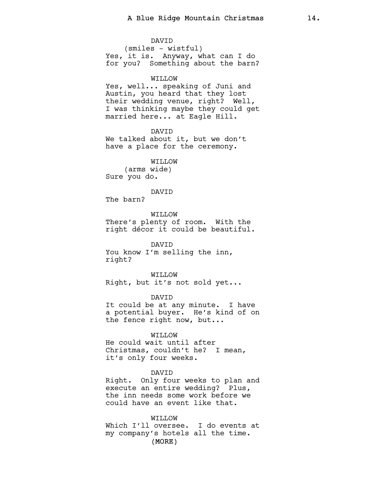DAVID (smiles - wistful) Yes, it is. Anyway, what can I do for you? Something about the barn? WILLOW Yes, well... speaking of Juni and

Austin, you heard that they lost their wedding venue, right? Well, I was thinking maybe they could get married here... at Eagle Hill.

DAVID We talked about it, but we don't have a place for the ceremony.

WILLOW (arms wide) Sure you do.

#### DAVID

The barn?

WILLOW There's plenty of room. With the right décor it could be beautiful.

DAVID You know I'm selling the inn, right?

WILLOW Right, but it's not sold yet...

DAVID It could be at any minute. I have a potential buyer. He's kind of on the fence right now, but...

WILLOW He could wait until after Christmas, couldn't he? I mean, it's only four weeks.

### DAVID

Right. Only four weeks to plan and execute an entire wedding? Plus, the inn needs some work before we could have an event like that.

(MORE) WILLOW Which I'll oversee. I do events at my company's hotels all the time.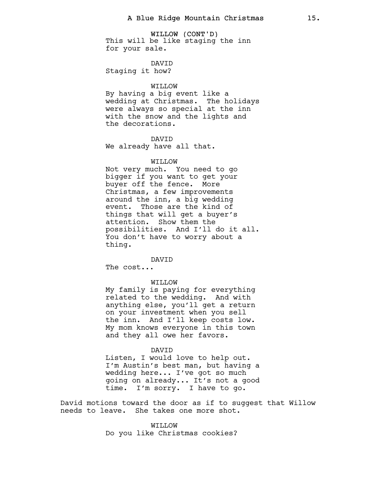WILLOW (CONT'D) This will be like staging the inn for your sale.

DAVID Staging it how?

# WILLOW

By having a big event like a wedding at Christmas. The holidays were always so special at the inn with the snow and the lights and the decorations.

# DAVID

We already have all that.

### WO.T.TTW

Not very much. You need to go bigger if you want to get your buyer off the fence. More Christmas, a few improvements around the inn, a big wedding event. Those are the kind of things that will get a buyer's attention. Show them the possibilities. And I'll do it all. You don't have to worry about a thing.

# DAVID

The cost...

#### WILLOW

My family is paying for everything related to the wedding. And with anything else, you'll get a return on your investment when you sell the inn. And I'll keep costs low. My mom knows everyone in this town and they all owe her favors.

#### DAVID

Listen, I would love to help out. I'm Austin's best man, but having a wedding here... I've got so much going on already... It's not a good time. I'm sorry. I have to go.

David motions toward the door as if to suggest that Willow needs to leave. She takes one more shot.

> WILLOW Do you like Christmas cookies?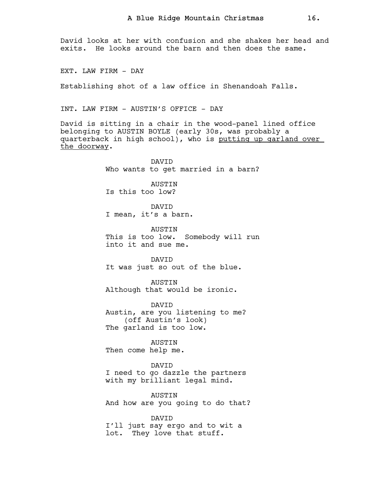David looks at her with confusion and she shakes her head and exits. He looks around the barn and then does the same.

EXT. LAW FIRM - DAY

Establishing shot of a law office in Shenandoah Falls.

INT. LAW FIRM - AUSTIN'S OFFICE - DAY

DAVID

David is sitting in a chair in the wood-panel lined office belonging to AUSTIN BOYLE (early 30s, was probably a quarterback in high school), who is putting up garland over the doorway.

> Who wants to get married in a barn? AUSTIN Is this too low? DAVID I mean, it's a barn. AUSTIN This is too low. Somebody will run into it and sue me.

**DAVTD** It was just so out of the blue.

AUSTIN Although that would be ironic.

DAVID Austin, are you listening to me? (off Austin's look) The garland is too low.

AUSTIN Then come help me.

DAVID I need to go dazzle the partners with my brilliant legal mind.

AUSTIN And how are you going to do that?

DAVID I'll just say ergo and to wit a lot. They love that stuff.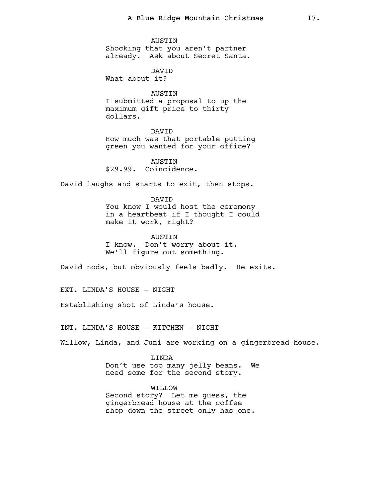AUSTIN Shocking that you aren't partner already. Ask about Secret Santa.

DAVID What about it?

AUSTIN I submitted a proposal to up the maximum gift price to thirty dollars.

DAVID How much was that portable putting green you wanted for your office?

**AUSTIN** \$29.99. Coincidence.

David laughs and starts to exit, then stops.

DAVID You know I would host the ceremony in a heartbeat if I thought I could make it work, right?

AUSTIN I know. Don't worry about it. We'll figure out something.

David nods, but obviously feels badly. He exits.

EXT. LINDA'S HOUSE - NIGHT

Establishing shot of Linda's house.

INT. LINDA'S HOUSE - KITCHEN - NIGHT

Willow, Linda, and Juni are working on a gingerbread house.

LINDA Don't use too many jelly beans. We need some for the second story.

WILLOW Second story? Let me guess, the gingerbread house at the coffee shop down the street only has one.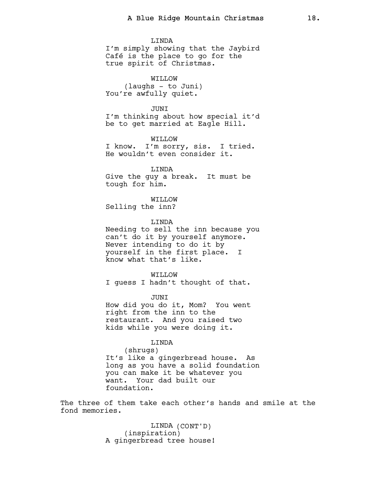LINDA I'm simply showing that the Jaybird Café is the place to go for the true spirit of Christmas.

WILLOW (laughs - to Juni) You're awfully quiet.

**JUNT** 

I'm thinking about how special it'd be to get married at Eagle Hill.

WILLOW I know. I'm sorry, sis. I tried. He wouldn't even consider it.

LINDA Give the guy a break. It must be tough for him.

WILLOW Selling the inn?

LINDA Needing to sell the inn because you can't do it by yourself anymore. Never intending to do it by yourself in the first place. I know what that's like.

WILLOW I guess I hadn't thought of that.

JUNI How did you do it, Mom? You went right from the inn to the restaurant. And you raised two kids while you were doing it.

LINDA

(shrugs) It's like a gingerbread house. As long as you have a solid foundation you can make it be whatever you want. Your dad built our foundation.

The three of them take each other's hands and smile at the fond memories.

> LINDA (CONT'D) (inspiration) A gingerbread tree house!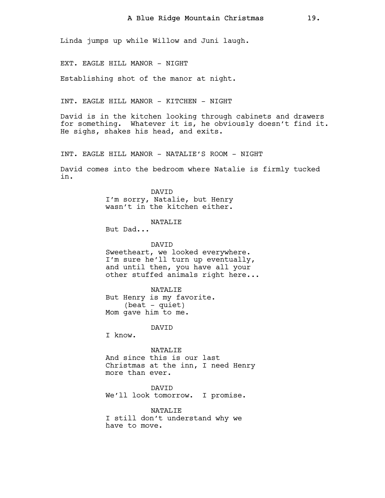Linda jumps up while Willow and Juni laugh.

EXT. EAGLE HILL MANOR - NIGHT

Establishing shot of the manor at night.

INT. EAGLE HILL MANOR - KITCHEN - NIGHT

David is in the kitchen looking through cabinets and drawers for something. Whatever it is, he obviously doesn't find it. He sighs, shakes his head, and exits.

INT. EAGLE HILL MANOR - NATALIE'S ROOM - NIGHT

David comes into the bedroom where Natalie is firmly tucked in.

> **DAVTD** I'm sorry, Natalie, but Henry wasn't in the kitchen either.

> > NATALIE

But Dad...

DAVID Sweetheart, we looked everywhere. I'm sure he'll turn up eventually, and until then, you have all your other stuffed animals right here...

NATALIE But Henry is my favorite.  $(beat - quiet)$ Mom gave him to me.

DAVID

I know.

NATALIE And since this is our last Christmas at the inn, I need Henry more than ever.

DAVID We'll look tomorrow. I promise.

NATALIE I still don't understand why we have to move.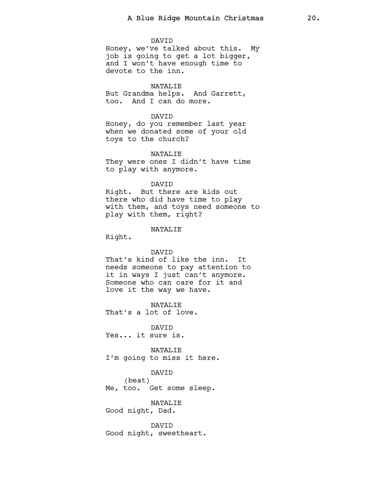#### DAVID

Honey, we've talked about this. My job is going to get a lot bigger, and I won't have enough time to devote to the inn.

### NATALIE

But Grandma helps. And Garrett, too. And I can do more.

### DAVID

Honey, do you remember last year when we donated some of your old toys to the church?

#### NATALIE

They were ones I didn't have time to play with anymore.

#### DAVID

Right. But there are kids out there who did have time to play with them, and toys need someone to play with them, right?

### NATALIE

Right.

### DAVID

That's kind of like the inn. It needs someone to pay attention to it in ways I just can't anymore. Someone who can care for it and love it the way we have.

NATALIE That's a lot of love.

DAVID Yes... it sure is.

NATALIE I'm going to miss it here.

#### DAVID

(beat) Me, too. Get some sleep.

NATALIE Good night, Dad.

DAVID Good night, sweetheart.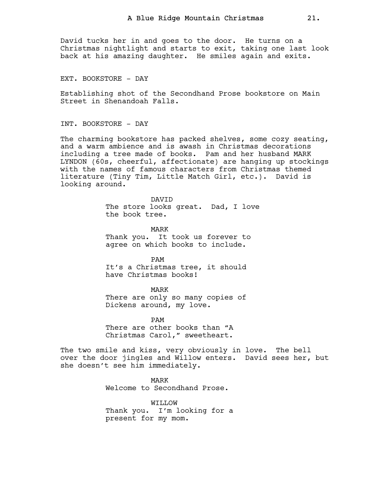David tucks her in and goes to the door. He turns on a Christmas nightlight and starts to exit, taking one last look back at his amazing daughter. He smiles again and exits.

EXT. BOOKSTORE - DAY

Establishing shot of the Secondhand Prose bookstore on Main Street in Shenandoah Falls.

INT. BOOKSTORE - DAY

The charming bookstore has packed shelves, some cozy seating, and a warm ambience and is awash in Christmas decorations including a tree made of books. Pam and her husband MARK LYNDON (60s, cheerful, affectionate) are hanging up stockings with the names of famous characters from Christmas themed literature (Tiny Tim, Little Match Girl, etc.). David is looking around.

> DAVID The store looks great. Dad, I love the book tree.

MARK Thank you. It took us forever to agree on which books to include.

PAM It's a Christmas tree, it should have Christmas books!

MARK

There are only so many copies of Dickens around, my love.

PAM There are other books than "A Christmas Carol," sweetheart.

The two smile and kiss, very obviously in love. The bell over the door jingles and Willow enters. David sees her, but she doesn't see him immediately.

> MARK Welcome to Secondhand Prose.

WILLOW Thank you. I'm looking for a present for my mom.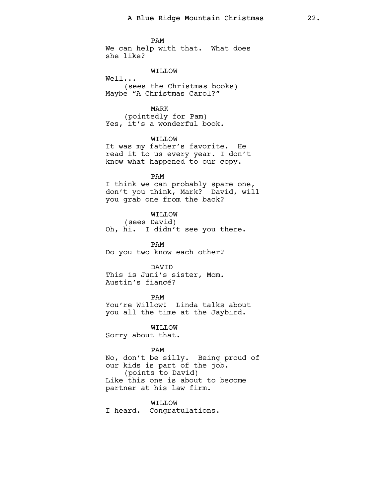PAM We can help with that. What does she like?

WILLOW

Well... (sees the Christmas books) Maybe "A Christmas Carol?"

MARK (pointedly for Pam) Yes, it's a wonderful book.

WILLOW It was my father's favorite. He read it to us every year. I don't know what happened to our copy.

PAM I think we can probably spare one, don't you think, Mark? David, will you grab one from the back?

WILLOW (sees David) Oh, hi. I didn't see you there.

PAM Do you two know each other?

DAVID This is Juni's sister, Mom. Austin's fiancé?

PAM You're Willow! Linda talks about you all the time at the Jaybird.

WILLOW Sorry about that.

PAM

No, don't be silly. Being proud of our kids is part of the job. (points to David) Like this one is about to become partner at his law firm.

WILLOW I heard. Congratulations.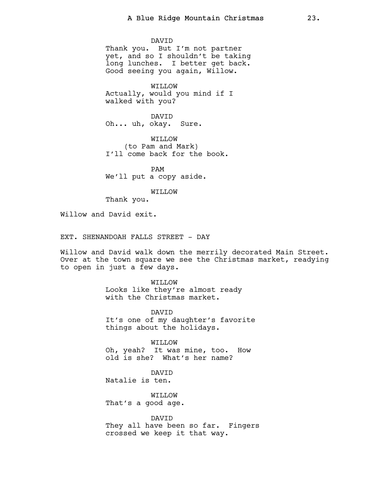DAVID Thank you. But I'm not partner yet, and so I shouldn't be taking long lunches. I better get back. Good seeing you again, Willow.

WILLOW Actually, would you mind if I walked with you?

DAVID Oh... uh, okay. Sure.

WILLOW (to Pam and Mark) I'll come back for the book.

PAM We'll put a copy aside.

WILLOW

Thank you.

Willow and David exit.

EXT. SHENANDOAH FALLS STREET - DAY

Willow and David walk down the merrily decorated Main Street. Over at the town square we see the Christmas market, readying to open in just a few days.

> WILLOW Looks like they're almost ready with the Christmas market.

DAVID It's one of my daughter's favorite things about the holidays.

WILLOW Oh, yeah? It was mine, too. How old is she? What's her name?

DAVID Natalie is ten.

WILLOW That's a good age.

DAVID They all have been so far. Fingers crossed we keep it that way.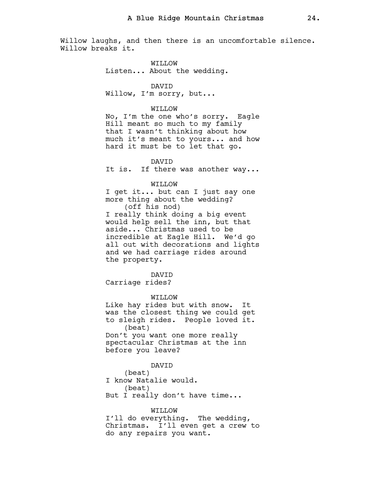Willow laughs, and then there is an uncomfortable silence. Willow breaks it.

> WILLOW Listen... About the wedding.

#### DAVID

Willow, I'm sorry, but...

# WILLOW

No, I'm the one who's sorry. Eagle Hill meant so much to my family that I wasn't thinking about how much it's meant to yours... and how hard it must be to let that go.

#### DAVID

It is. If there was another way...

#### WILLOW

I get it... but can I just say one more thing about the wedding? (off his nod) I really think doing a big event would help sell the inn, but that

aside... Christmas used to be incredible at Eagle Hill. We'd go all out with decorations and lights and we had carriage rides around the property.

# DAVID

Carriage rides?

### WILLOW

Like hay rides but with snow. It was the closest thing we could get to sleigh rides. People loved it. (beat) Don't you want one more really spectacular Christmas at the inn before you leave?

#### DAVID

(beat) I know Natalie would. (beat) But I really don't have time...

WILLOW I'll do everything. The wedding, Christmas. I'll even get a crew to do any repairs you want.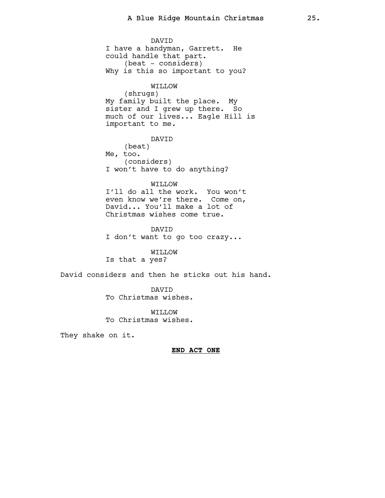DAVID I have a handyman, Garrett. He could handle that part. (beat - considers) Why is this so important to you? WILLOW (shrugs) My family built the place. My sister and I grew up there. So much of our lives... Eagle Hill is important to me. DAVID (beat) Me, too. (considers) I won't have to do anything? WILLOW I'll do all the work. You won't even know we're there. Come on, David... You'll make a lot of Christmas wishes come true. DAVID I don't want to go too crazy... WILLOW Is that a yes? David considers and then he sticks out his hand. DAVID To Christmas wishes.

> WILLOW To Christmas wishes.

They shake on it.

END ACT ONE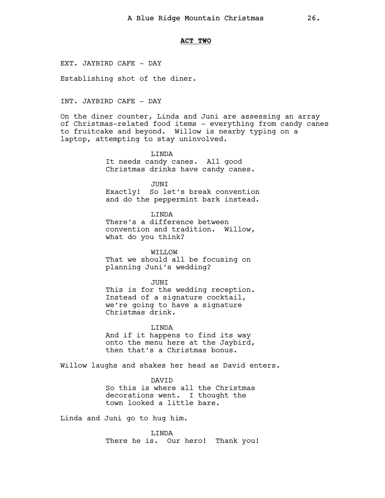### ACT TWO

EXT. JAYBIRD CAFE - DAY

Establishing shot of the diner.

INT. JAYBIRD CAFE - DAY

On the diner counter, Linda and Juni are assessing an array of Christmas-related food items - everything from candy canes to fruitcake and beyond. Willow is nearby typing on a laptop, attempting to stay uninvolved.

> LINDA It needs candy canes. All good Christmas drinks have candy canes.

JUNI Exactly! So let's break convention and do the peppermint bark instead.

LINDA There's a difference between convention and tradition. Willow, what do you think?

WILLOW That we should all be focusing on planning Juni's wedding?

JUNI

This is for the wedding reception. Instead of a signature cocktail, we're going to have a signature Christmas drink.

LINDA

And if it happens to find its way onto the menu here at the Jaybird, then that's a Christmas bonus.

Willow laughs and shakes her head as David enters.

DAVID So this is where all the Christmas decorations went. I thought the town looked a little bare.

Linda and Juni go to hug him.

LINDA There he is. Our hero! Thank you!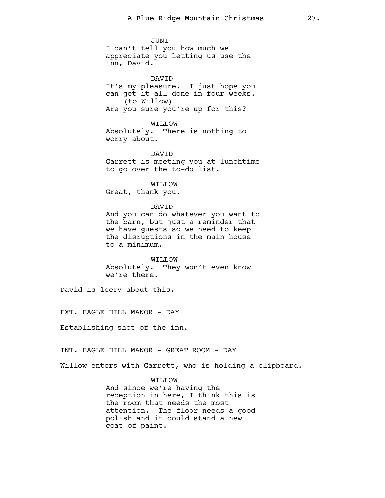JUNI I can't tell you how much we appreciate you letting us use the inn, David.

DAVID It's my pleasure. I just hope you can get it all done in four weeks. (to Willow) Are you sure you're up for this?

WILLOW Absolutely. There is nothing to worry about.

DAVID Garrett is meeting you at lunchtime to go over the to-do list.

WILLOW Great, thank you.

DAVID

And you can do whatever you want to the barn, but just a reminder that we have guests so we need to keep the disruptions in the main house to a minimum.

WILLOW Absolutely. They won't even know we're there.

David is leery about this.

EXT. EAGLE HILL MANOR - DAY

Establishing shot of the inn.

INT. EAGLE HILL MANOR - GREAT ROOM - DAY

Willow enters with Garrett, who is holding a clipboard.

WILLOW

And since we're having the reception in here, I think this is the room that needs the most attention. The floor needs a good polish and it could stand a new coat of paint.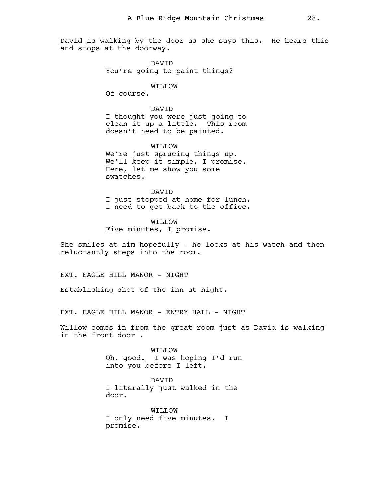David is walking by the door as she says this. He hears this and stops at the doorway.

> DAVID You're going to paint things?

### WILLOW

Of course.

# DAVID

I thought you were just going to clean it up a little. This room doesn't need to be painted.

WILLOW We're just sprucing things up. We'll keep it simple, I promise. Here, let me show you some swatches.

**DAVTD** I just stopped at home for lunch. I need to get back to the office.

WILLOW Five minutes, I promise.

She smiles at him hopefully - he looks at his watch and then reluctantly steps into the room.

EXT. EAGLE HILL MANOR - NIGHT

Establishing shot of the inn at night.

EXT. EAGLE HILL MANOR - ENTRY HALL - NIGHT

Willow comes in from the great room just as David is walking in the front door .

> WILLOW Oh, good. I was hoping I'd run into you before I left.

DAVID I literally just walked in the door.

WILLOW I only need five minutes. I promise.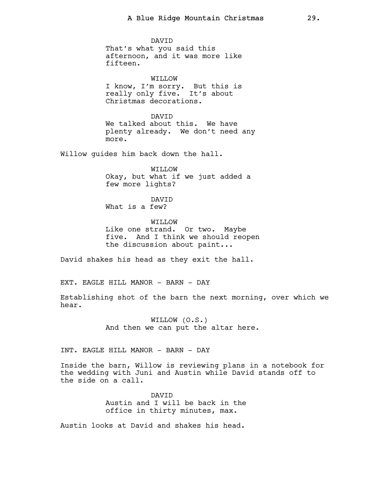DAVID That's what you said this afternoon, and it was more like fifteen.

WILLOW I know, I'm sorry. But this is really only five. It's about Christmas decorations.

DAVID We talked about this. We have plenty already. We don't need any more.

Willow guides him back down the hall.

WILLOW Okay, but what if we just added a few more lights?

DAVID What is a few?

WILLOW Like one strand. Or two. Maybe five. And I think we should reopen the discussion about paint...

David shakes his head as they exit the hall.

EXT. EAGLE HILL MANOR - BARN - DAY

Establishing shot of the barn the next morning, over which we hear.

> WILLOW (O.S.) And then we can put the altar here.

INT. EAGLE HILL MANOR - BARN - DAY

Inside the barn, Willow is reviewing plans in a notebook for the wedding with Juni and Austin while David stands off to the side on a call.

> DAVID Austin and I will be back in the office in thirty minutes, max.

Austin looks at David and shakes his head.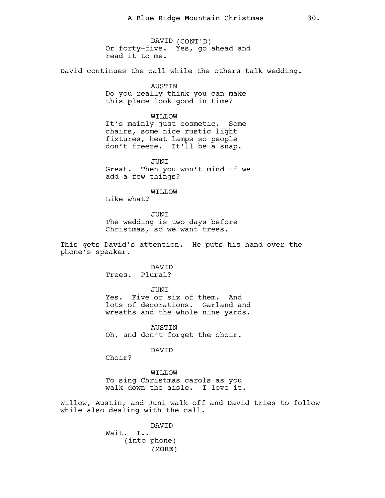DAVID (CONT'D) Or forty-five. Yes, go ahead and read it to me.

David continues the call while the others talk wedding.

AUSTIN Do you really think you can make this place look good in time?

### WILLOW

It's mainly just cosmetic. Some chairs, some nice rustic light fixtures, heat lamps so people don't freeze. It'll be a snap.

JUNI Great. Then you won't mind if we add a few things?

### WILLOW

Like what?

JUNI The wedding is two days before Christmas, so we want trees.

This gets David's attention. He puts his hand over the phone's speaker.

> DAVID Trees. Plural?

> > JUNI

Yes. Five or six of them. And lots of decorations. Garland and wreaths and the whole nine yards.

AUSTIN Oh, and don't forget the choir.

#### DAVID

Choir?

WILLOW To sing Christmas carols as you walk down the aisle. I love it.

Willow, Austin, and Juni walk off and David tries to follow while also dealing with the call.

> (MORE) DAVID Wait. I.. (into phone)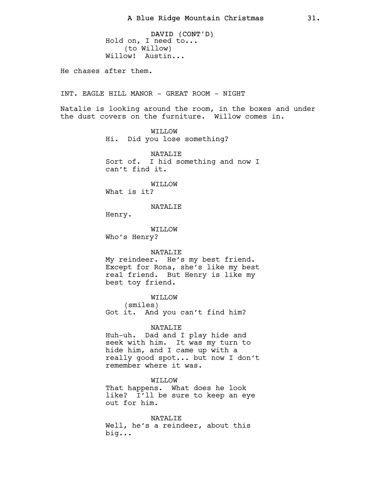DAVID (CONT'D) Hold on, I need to... (to Willow) Willow! Austin...

He chases after them.

INT. EAGLE HILL MANOR - GREAT ROOM - NIGHT

Natalie is looking around the room, in the boxes and under the dust covers on the furniture. Willow comes in.

> WILLOW Hi. Did you lose something?

NATALIE Sort of. I hid something and now I can't find it.

WILLOW

What is it?

NATALIE

Henry.

WILLOW Who's Henry?

#### NATALIE

My reindeer. He's my best friend. Except for Rona, she's like my best real friend. But Henry is like my best toy friend.

WILLOW

(smiles)

Got it. And you can't find him?

NATALIE

Huh-uh. Dad and I play hide and seek with him. It was my turn to hide him, and I came up with a really good spot... but now I don't remember where it was.

### WILLOW

That happens. What does he look like? I'll be sure to keep an eye out for him.

NATALIE Well, he's a reindeer, about this big...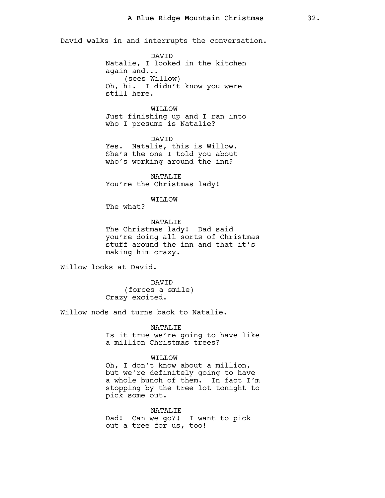David walks in and interrupts the conversation.

DAVID Natalie, I looked in the kitchen again and... (sees Willow) Oh, hi. I didn't know you were still here.

WILLOW Just finishing up and I ran into who I presume is Natalie?

DAVID Yes. Natalie, this is Willow. She's the one I told you about who's working around the inn?

NATALIE You're the Christmas lady!

WILLOW

The what?

NATALIE The Christmas lady! Dad said you're doing all sorts of Christmas stuff around the inn and that it's making him crazy.

Willow looks at David.

DAVID (forces a smile) Crazy excited.

Willow nods and turns back to Natalie.

NATALIE Is it true we're going to have like a million Christmas trees?

# WILLOW

Oh, I don't know about a million, but we're definitely going to have a whole bunch of them. In fact I'm stopping by the tree lot tonight to pick some out.

### NATALIE

Dad! Can we go?! I want to pick out a tree for us, too!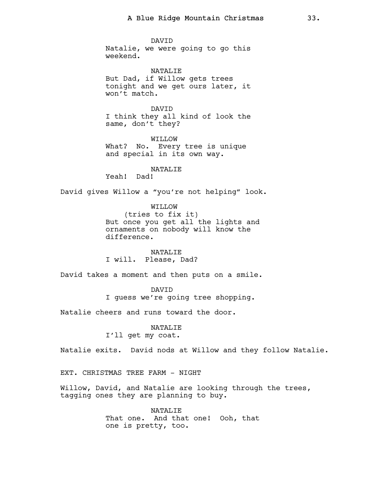DAVID Natalie, we were going to go this weekend.

NATALIE But Dad, if Willow gets trees tonight and we get ours later, it won't match.

DAVID I think they all kind of look the same, don't they?

WILLOW What? No. Every tree is unique and special in its own way.

NATALIE Yeah! Dad!

David gives Willow a "you're not helping" look.

WILLOW (tries to fix it) But once you get all the lights and ornaments on nobody will know the difference.

NATALIE I will. Please, Dad?

David takes a moment and then puts on a smile.

DAVID I guess we're going tree shopping.

Natalie cheers and runs toward the door.

NATALIE I'll get my coat.

Natalie exits. David nods at Willow and they follow Natalie.

EXT. CHRISTMAS TREE FARM - NIGHT

Willow, David, and Natalie are looking through the trees, tagging ones they are planning to buy.

> NATALIF. That one. And that one! Ooh, that one is pretty, too.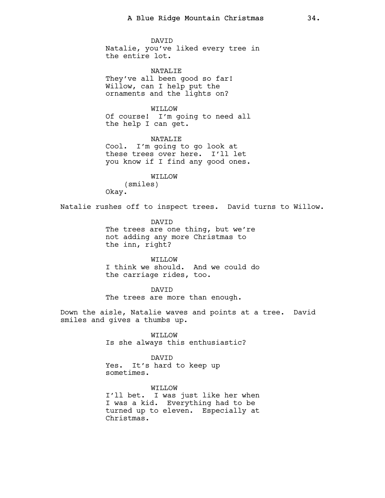DAVID Natalie, you've liked every tree in the entire lot.

NATALIE They've all been good so far! Willow, can I help put the ornaments and the lights on?

WO.T.TTW Of course! I'm going to need all the help I can get.

NATALIE Cool. I'm going to go look at these trees over here. I'll let you know if I find any good ones.

WILLOW (smiles) Okay.

Natalie rushes off to inspect trees. David turns to Willow.

DAVID The trees are one thing, but we're not adding any more Christmas to the inn, right?

WILLOW I think we should. And we could do the carriage rides, too.

DAVID The trees are more than enough.

Down the aisle, Natalie waves and points at a tree. David smiles and gives a thumbs up.

> WILLOW Is she always this enthusiastic?

DAVID Yes. It's hard to keep up sometimes.

WILLOW I'll bet. I was just like her when I was a kid. Everything had to be turned up to eleven. Especially at Christmas.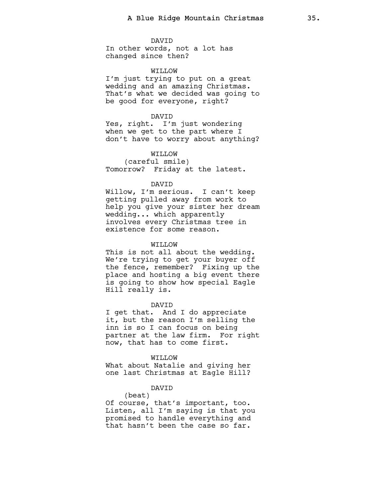DAVID In other words, not a lot has changed since then?

### WILLOW

I'm just trying to put on a great wedding and an amazing Christmas. That's what we decided was going to be good for everyone, right?

### DAVID

Yes, right. I'm just wondering when we get to the part where I don't have to worry about anything?

# WILLOW

(careful smile) Tomorrow? Friday at the latest.

#### DAVID

Willow, I'm serious. I can't keep getting pulled away from work to help you give your sister her dream wedding... which apparently involves every Christmas tree in existence for some reason.

### WO.T.TTW

This is not all about the wedding. We're trying to get your buyer off the fence, remember? Fixing up the place and hosting a big event there is going to show how special Eagle Hill really is.

#### DAVID

I get that. And I do appreciate it, but the reason I'm selling the inn is so I can focus on being partner at the law firm. For right now, that has to come first.

#### WILLOW

What about Natalie and giving her one last Christmas at Eagle Hill?

## DAVID

(beat) Of course, that's important, too. Listen, all I'm saying is that you promised to handle everything and that hasn't been the case so far.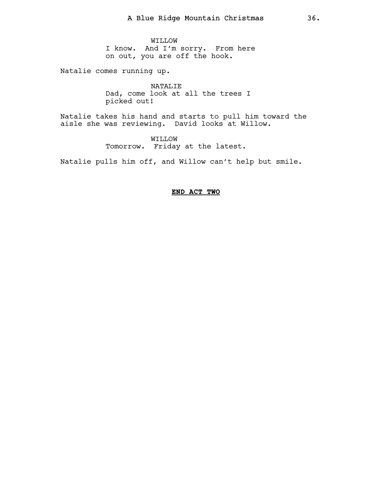WILLOW I know. And I'm sorry. From here on out, you are off the hook.

Natalie comes running up.

NATALIE Dad, come look at all the trees I picked out!

Natalie takes his hand and starts to pull him toward the aisle she was reviewing. David looks at Willow.

> WILLOW Tomorrow. Friday at the latest.

Natalie pulls him off, and Willow can't help but smile.

# END ACT TWO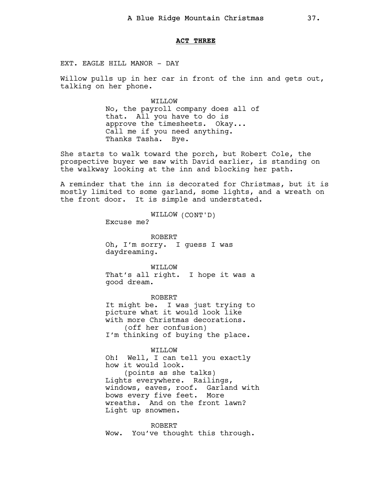### ACT THREE

EXT. EAGLE HILL MANOR - DAY

Willow pulls up in her car in front of the inn and gets out, talking on her phone.

> WILLOW No, the payroll company does all of that. All you have to do is approve the timesheets. Okay... Call me if you need anything. Thanks Tasha. Bye.

She starts to walk toward the porch, but Robert Cole, the prospective buyer we saw with David earlier, is standing on the walkway looking at the inn and blocking her path.

A reminder that the inn is decorated for Christmas, but it is mostly limited to some garland, some lights, and a wreath on the front door. It is simple and understated.

WILLOW (CONT'D)

Excuse me?

ROBERT Oh, I'm sorry. I guess I was daydreaming.

WILLOW That's all right. I hope it was a good dream.

ROBERT It might be. I was just trying to picture what it would look like with more Christmas decorations. (off her confusion) I'm thinking of buying the place.

WILLOW Oh! Well, I can tell you exactly how it would look.

(points as she talks) Lights everywhere. Railings, windows, eaves, roof. Garland with bows every five feet. More wreaths. And on the front lawn? Light up snowmen.

ROBERT Wow. You've thought this through.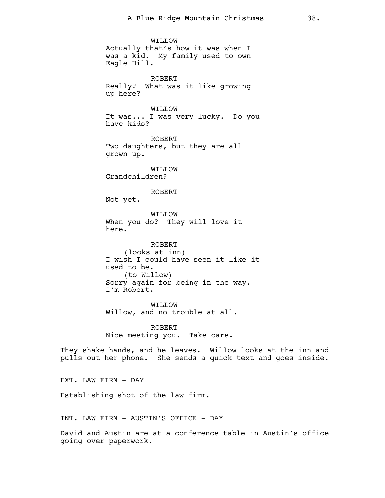WILLOW Actually that's how it was when I was a kid. My family used to own Eagle Hill. ROBERT Really? What was it like growing up here? WO.T.TTW It was... I was very lucky. Do you have kids? ROBERT Two daughters, but they are all grown up. WILLOW Grandchildren? ROBERT Not yet. WILLOW When you do? They will love it here. ROBERT (looks at inn) I wish I could have seen it like it used to be. (to Willow) Sorry again for being in the way. I'm Robert. WILLOW Willow, and no trouble at all. ROBERT Nice meeting you. Take care. They shake hands, and he leaves. Willow looks at the inn and pulls out her phone. She sends a quick text and goes inside.

EXT. LAW FIRM - DAY

Establishing shot of the law firm.

INT. LAW FIRM - AUSTIN'S OFFICE - DAY

David and Austin are at a conference table in Austin's office going over paperwork.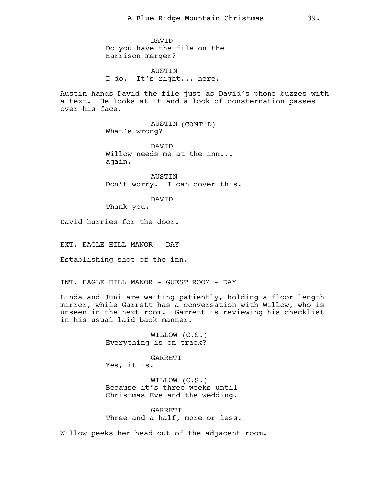DAVID Do you have the file on the Harrison merger?

AUSTIN I do. It's right... here.

Austin hands David the file just as David's phone buzzes with a text. He looks at it and a look of consternation passes over his face.

> AUSTIN (CONT'D) What's wrong?

DAVID Willow needs me at the inn... again.

AUSTIN Don't worry. I can cover this.

DAVID

Thank you.

David hurries for the door.

EXT. EAGLE HILL MANOR - DAY

Establishing shot of the inn.

INT. EAGLE HILL MANOR - GUEST ROOM - DAY

Linda and Juni are waiting patiently, holding a floor length mirror, while Garrett has a conversation with Willow, who is unseen in the next room. Garrett is reviewing his checklist in his usual laid back manner.

> WILLOW (O.S.) Everything is on track?

GARRETT Yes, it is.

WILLOW (O.S.) Because it's three weeks until Christmas Eve and the wedding.

**GARRETT** Three and a half, more or less.

Willow peeks her head out of the adjacent room.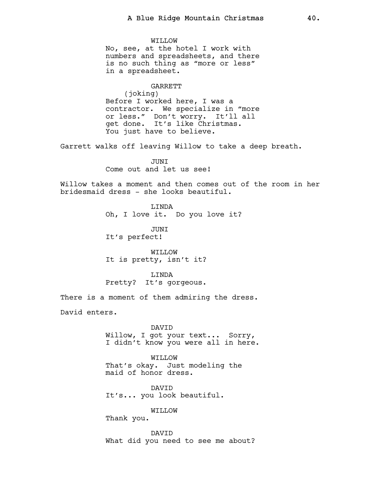WILLOW No, see, at the hotel I work with numbers and spreadsheets, and there is no such thing as "more or less" in a spreadsheet. GARRETT

(joking) Before I worked here, I was a contractor. We specialize in "more or less." Don't worry. It'll all get done. It's like Christmas. You just have to believe.

Garrett walks off leaving Willow to take a deep breath.

**JUNT** Come out and let us see!

Willow takes a moment and then comes out of the room in her bridesmaid dress - she looks beautiful.

> LINDA Oh, I love it. Do you love it?

JUNI It's perfect!

WILLOW It is pretty, isn't it?

LINDA Pretty? It's gorgeous.

There is a moment of them admiring the dress.

David enters.

DAVID Willow, I got your text... Sorry, I didn't know you were all in here.

WILLOW That's okay. Just modeling the maid of honor dress.

DAVID It's... you look beautiful.

WILLOW

Thank you.

DAVID What did you need to see me about?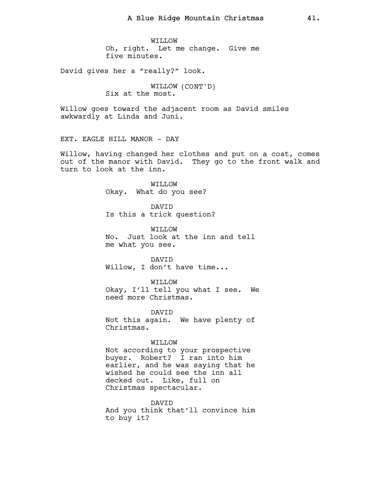WILLOW Oh, right. Let me change. Give me five minutes.

David gives her a "really?" look.

WILLOW (CONT'D) Six at the most.

Willow goes toward the adjacent room as David smiles awkwardly at Linda and Juni.

EXT. EAGLE HILL MANOR - DAY

Willow, having changed her clothes and put on a coat, comes out of the manor with David. They go to the front walk and turn to look at the inn.

> WILLOW Okay. What do you see?

DAVID Is this a trick question?

WILLOW No. Just look at the inn and tell me what you see.

DAVID Willow, I don't have time...

WILLOW Okay, I'll tell you what I see. We need more Christmas.

DAVID Not this again. We have plenty of Christmas.

## WILLOW

Not according to your prospective buyer. Robert? I ran into him earlier, and he was saying that he wished he could see the inn all decked out. Like, full on Christmas spectacular.

DAVID And you think that'll convince him to buy it?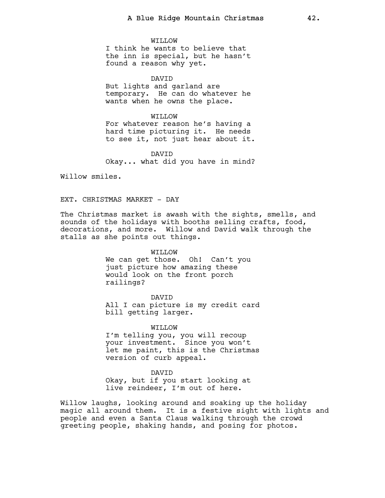WILLOW I think he wants to believe that the inn is special, but he hasn't found a reason why yet.

DAVID But lights and garland are temporary. He can do whatever he wants when he owns the place.

WILLOW For whatever reason he's having a hard time picturing it. He needs to see it, not just hear about it.

DAVID Okay... what did you have in mind?

Willow smiles.

#### EXT. CHRISTMAS MARKET - DAY

The Christmas market is awash with the sights, smells, and sounds of the holidays with booths selling crafts, food, decorations, and more. Willow and David walk through the stalls as she points out things.

> WILLOW We can get those. Oh! Can't you just picture how amazing these would look on the front porch railings?

DAVID All I can picture is my credit card bill getting larger.

WILLOW I'm telling you, you will recoup your investment. Since you won't let me paint, this is the Christmas version of curb appeal.

DAVID Okay, but if you start looking at live reindeer, I'm out of here.

Willow laughs, looking around and soaking up the holiday magic all around them. It is a festive sight with lights and people and even a Santa Claus walking through the crowd greeting people, shaking hands, and posing for photos.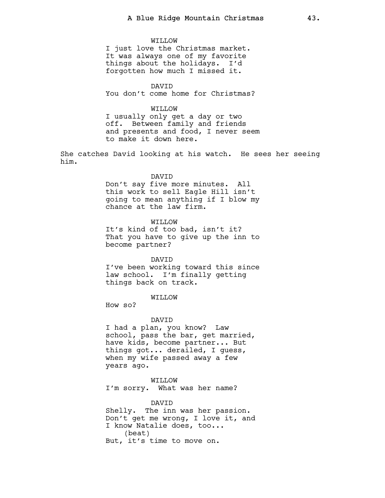#### WILLOW

I just love the Christmas market. It was always one of my favorite things about the holidays. I'd forgotten how much I missed it.

DAVID You don't come home for Christmas?

## WILLOW

I usually only get a day or two off. Between family and friends and presents and food, I never seem to make it down here.

She catches David looking at his watch. He sees her seeing him.

#### DAVID

Don't say five more minutes. All this work to sell Eagle Hill isn't going to mean anything if I blow my chance at the law firm.

# WILLOW

It's kind of too bad, isn't it? That you have to give up the inn to become partner?

## DAVID

I've been working toward this since law school. I'm finally getting things back on track.

# WILLOW

How so?

#### DAVID

I had a plan, you know? Law school, pass the bar, get married, have kids, become partner... But things got... derailed, I guess, when my wife passed away a few years ago.

## WILLOW

I'm sorry. What was her name?

## DAVID

Shelly. The inn was her passion. Don't get me wrong, I love it, and I know Natalie does, too... (beat) But, it's time to move on.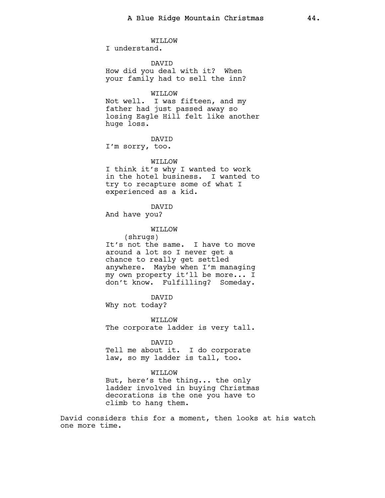WILLOW I understand.

DAVID How did you deal with it? When your family had to sell the inn?

# WILLOW

Not well. I was fifteen, and my father had just passed away so losing Eagle Hill felt like another huge loss.

DAVID I'm sorry, too.

WILLOW

I think it's why I wanted to work in the hotel business. I wanted to try to recapture some of what I experienced as a kid.

DAVID

And have you?

## WILLOW

(shrugs) It's not the same. I have to move around a lot so I never get a chance to really get settled anywhere. Maybe when I'm managing my own property it'll be more... I don't know. Fulfilling? Someday.

DAVID

Why not today?

WILLOW The corporate ladder is very tall.

DAVID Tell me about it. I do corporate law, so my ladder is tall, too.

# WILLOW

But, here's the thing... the only ladder involved in buying Christmas decorations is the one you have to climb to hang them.

David considers this for a moment, then looks at his watch one more time.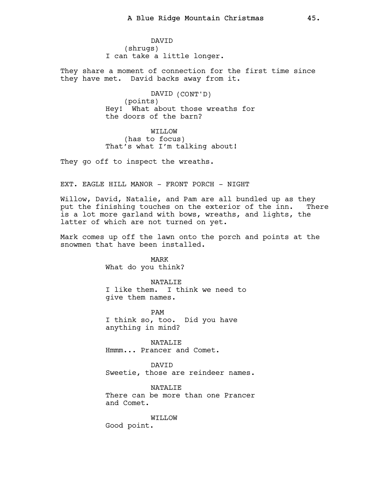DAVID (shrugs) I can take a little longer.

They share a moment of connection for the first time since they have met. David backs away from it.

> DAVID (CONT'D) (points) Hey! What about those wreaths for the doors of the barn?

WILLOW (has to focus) That's what I'm talking about!

They go off to inspect the wreaths.

EXT. EAGLE HILL MANOR - FRONT PORCH - NIGHT

Willow, David, Natalie, and Pam are all bundled up as they put the finishing touches on the exterior of the inn. There is a lot more garland with bows, wreaths, and lights, the latter of which are not turned on yet.

Mark comes up off the lawn onto the porch and points at the snowmen that have been installed.

> MARK What do you think?

NATALIE I like them. I think we need to give them names.

PAM I think so, too. Did you have anything in mind?

NATALIE Hmmm... Prancer and Comet.

DAVID Sweetie, those are reindeer names.

NATALIE There can be more than one Prancer and Comet.

WILLOW

Good point.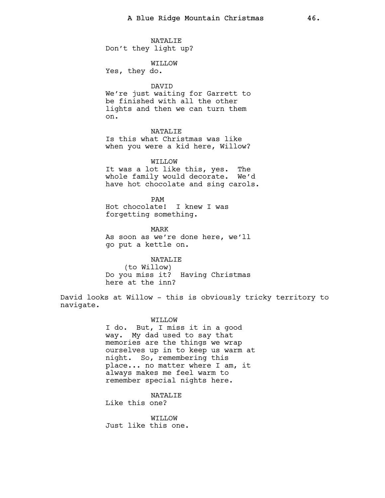NATALIE Don't they light up?

WILLOW

Yes, they do.

# DAVID

We're just waiting for Garrett to be finished with all the other lights and then we can turn them on.

# NATALIE

Is this what Christmas was like when you were a kid here, Willow?

## WILLOW

It was a lot like this, yes. The whole family would decorate. We'd have hot chocolate and sing carols.

PAM Hot chocolate! I knew I was forgetting something.

MARK As soon as we're done here, we'll go put a kettle on.

NATALIE (to Willow) Do you miss it? Having Christmas here at the inn?

David looks at Willow - this is obviously tricky territory to navigate.

#### WILLOW

I do. But, I miss it in a good way. My dad used to say that memories are the things we wrap ourselves up in to keep us warm at night. So, remembering this place... no matter where I am, it always makes me feel warm to remember special nights here.

# NATALIE

Like this one?

WILLOW Just like this one.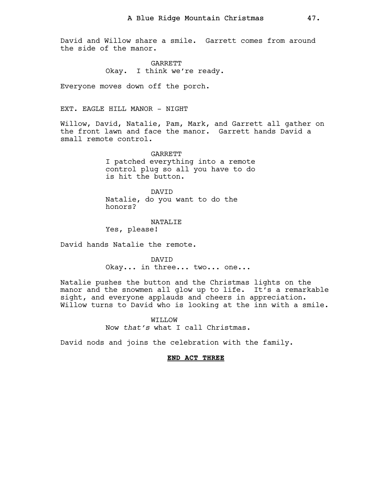David and Willow share a smile. Garrett comes from around the side of the manor.

> GARRETT Okay. I think we're ready.

Everyone moves down off the porch.

# EXT. EAGLE HILL MANOR - NIGHT

Willow, David, Natalie, Pam, Mark, and Garrett all gather on the front lawn and face the manor. Garrett hands David a small remote control.

> GARRETT I patched everything into a remote control plug so all you have to do is hit the button.

**DAVTD** Natalie, do you want to do the honors?

NATALIE Yes, please!

David hands Natalie the remote.

DAVID Okay... in three... two... one...

Natalie pushes the button and the Christmas lights on the manor and the snowmen all glow up to life. It's a remarkable sight, and everyone applauds and cheers in appreciation. Willow turns to David who is looking at the inn with a smile.

> WILLOW Now that's what I call Christmas.

David nods and joins the celebration with the family.

## END ACT THREE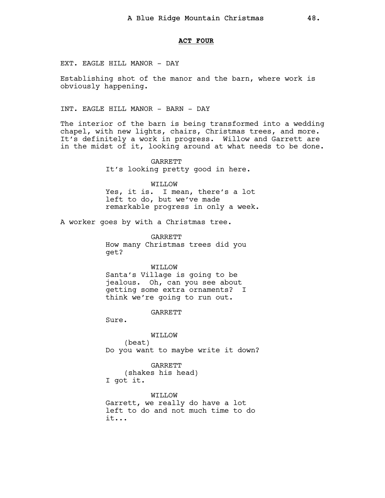### ACT FOUR

EXT. EAGLE HILL MANOR - DAY

Establishing shot of the manor and the barn, where work is obviously happening.

INT. EAGLE HILL MANOR - BARN - DAY

The interior of the barn is being transformed into a wedding chapel, with new lights, chairs, Christmas trees, and more. It's definitely a work in progress. Willow and Garrett are in the midst of it, looking around at what needs to be done.

> **GARRETT** It's looking pretty good in here.

WILLOW Yes, it is. I mean, there's a lot left to do, but we've made remarkable progress in only a week.

A worker goes by with a Christmas tree.

GARRETT How many Christmas trees did you get?

WILLOW

Santa's Village is going to be jealous. Oh, can you see about getting some extra ornaments? I think we're going to run out.

GARRETT

Sure.

WILLOW (beat) Do you want to maybe write it down?

GARRETT (shakes his head) I got it.

WILLOW Garrett, we really do have a lot left to do and not much time to do it...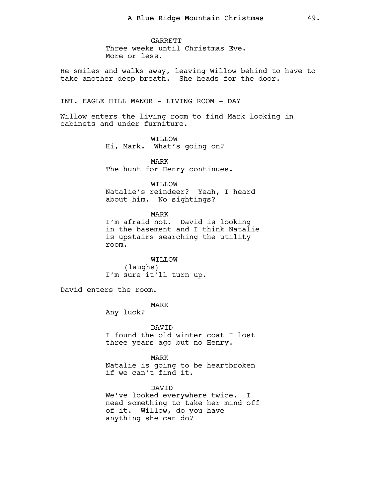GARRETT Three weeks until Christmas Eve. More or less.

He smiles and walks away, leaving Willow behind to have to take another deep breath. She heads for the door.

INT. EAGLE HILL MANOR - LIVING ROOM - DAY

Willow enters the living room to find Mark looking in cabinets and under furniture.

> WILLOW Hi, Mark. What's going on?

MARK The hunt for Henry continues.

WILLOW Natalie's reindeer? Yeah, I heard about him. No sightings?

MARK I'm afraid not. David is looking in the basement and I think Natalie is upstairs searching the utility room.

WILLOW (laughs) I'm sure it'll turn up.

David enters the room.

MARK

Any luck?

**DAVTD** I found the old winter coat I lost three years ago but no Henry.

MARK Natalie is going to be heartbroken if we can't find it.

DAVID We've looked everywhere twice. I need something to take her mind off of it. Willow, do you have anything she can do?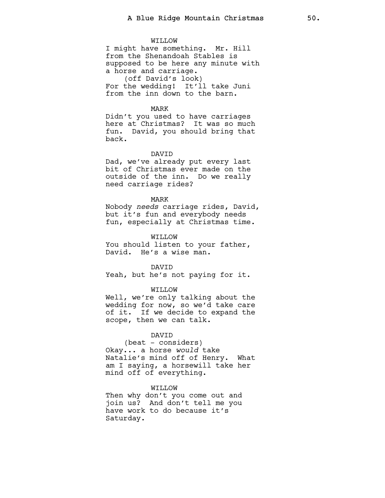#### WILLOW

I might have something. Mr. Hill from the Shenandoah Stables is supposed to be here any minute with a horse and carriage. (off David's look)

For the wedding! It'll take Juni from the inn down to the barn.

## MARK

Didn't you used to have carriages here at Christmas? It was so much fun. David, you should bring that back.

#### DAVID

Dad, we've already put every last bit of Christmas ever made on the outside of the inn. Do we really need carriage rides?

MARK

Nobody needs carriage rides, David, but it's fun and everybody needs fun, especially at Christmas time.

WILLOW

You should listen to your father, David. He's a wise man.

#### DAVID

Yeah, but he's not paying for it.

#### WILLOW

Well, we're only talking about the wedding for now, so we'd take care of it. If we decide to expand the scope, then we can talk.

## DAVID

(beat - considers) Okay... a horse would take Natalie's mind off of Henry. What am I saying, a horsewill take her mind off of everything.

# WILLOW

Then why don't you come out and join us? And don't tell me you have work to do because it's Saturday.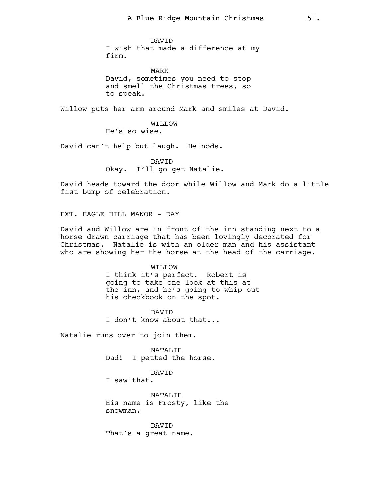DAVID I wish that made a difference at my firm.

MARK David, sometimes you need to stop and smell the Christmas trees, so to speak.

Willow puts her arm around Mark and smiles at David.

WILLOW He's so wise.

David can't help but laugh. He nods.

DAVID Okay. I'll go get Natalie.

David heads toward the door while Willow and Mark do a little fist bump of celebration.

EXT. EAGLE HILL MANOR - DAY

David and Willow are in front of the inn standing next to a horse drawn carriage that has been lovingly decorated for Christmas. Natalie is with an older man and his assistant who are showing her the horse at the head of the carriage.

## WILLOW

I think it's perfect. Robert is going to take one look at this at the inn, and he's going to whip out his checkbook on the spot.

DAVID I don't know about that...

Natalie runs over to join them.

NATALIE Dad! I petted the horse.

#### DAVID

I saw that.

NATALIE His name is Frosty, like the snowman.

DAVID That's a great name.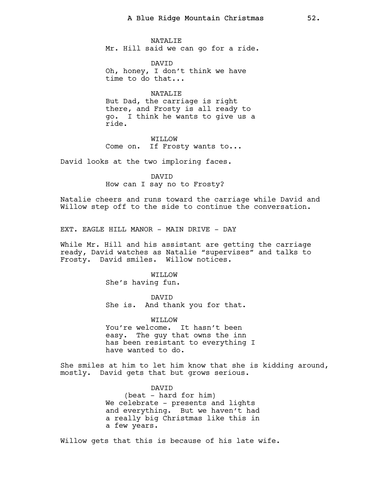NATALIE Mr. Hill said we can go for a ride.

DAVID Oh, honey, I don't think we have time to do that...

NATALIE But Dad, the carriage is right there, and Frosty is all ready to go. I think he wants to give us a ride.

WILLOW Come on. If Frosty wants to...

David looks at the two imploring faces.

DAVID How can I say no to Frosty?

Natalie cheers and runs toward the carriage while David and Willow step off to the side to continue the conversation.

EXT. EAGLE HILL MANOR - MAIN DRIVE - DAY

While Mr. Hill and his assistant are getting the carriage ready, David watches as Natalie "supervises" and talks to Frosty. David smiles. Willow notices.

> WILLOW She's having fun.

DAVID She is. And thank you for that.

WILLOW You're welcome. It hasn't been easy. The guy that owns the inn has been resistant to everything I have wanted to do.

She smiles at him to let him know that she is kidding around, mostly. David gets that but grows serious.

> DAVID (beat - hard for him) We celebrate - presents and lights and everything. But we haven't had a really big Christmas like this in a few years.

Willow gets that this is because of his late wife.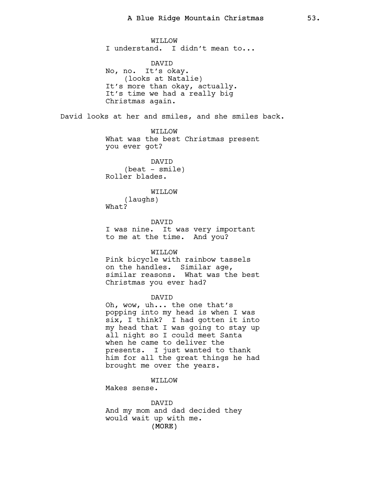WILLOW I understand. I didn't mean to... DAVID No, no. It's okay. (looks at Natalie) It's more than okay, actually. It's time we had a really big Christmas again. David looks at her and smiles, and she smiles back. WILLOW What was the best Christmas present you ever got? DAVID  $(beat - smile)$ Roller blades. WO.T.TTW (laughs) What? DAVID I was nine. It was very important to me at the time. And you? WILLOW Pink bicycle with rainbow tassels on the handles. Similar age, similar reasons. What was the best Christmas you ever had? DAVID Oh, wow, uh... the one that's popping into my head is when I was six, I think? I had gotten it into my head that I was going to stay up all night so I could meet Santa when he came to deliver the presents. I just wanted to thank him for all the great things he had brought me over the years. WILLOW Makes sense. DAVID And my mom and dad decided they would wait up with me.

(MORE)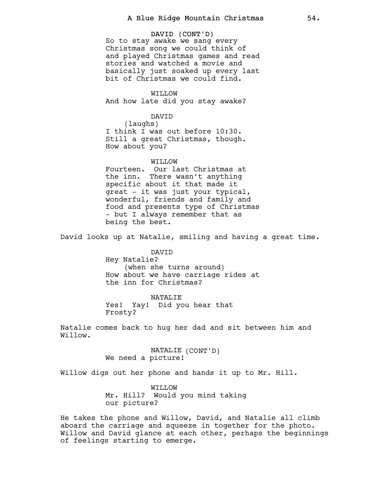DAVID (CONT'D) So to stay awake we sang every Christmas song we could think of and played Christmas games and read stories and watched a movie and basically just soaked up every last bit of Christmas we could find.

WILLOW And how late did you stay awake?

DAVID

(laughs) I think I was out before 10:30. Still a great Christmas, though. How about you?

WITLOW

Fourteen. Our last Christmas at the inn. There wasn't anything specific about it that made it great - it was just your typical, wonderful, friends and family and food and presents type of Christmas - but I always remember that as being the best.

David looks up at Natalie, smiling and having a great time.

DAVID Hey Natalie? (when she turns around) How about we have carriage rides at the inn for Christmas?

NATALIE

Yes! Yay! Did you hear that Frosty?

Natalie comes back to hug her dad and sit between him and Willow.

> NATALIE (CONT'D) We need a picture!

Willow digs out her phone and hands it up to Mr. Hill.

WILLOW Mr. Hill? Would you mind taking our picture?

He takes the phone and Willow, David, and Natalie all climb aboard the carriage and squeeze in together for the photo. Willow and David glance at each other, perhaps the beginnings of feelings starting to emerge.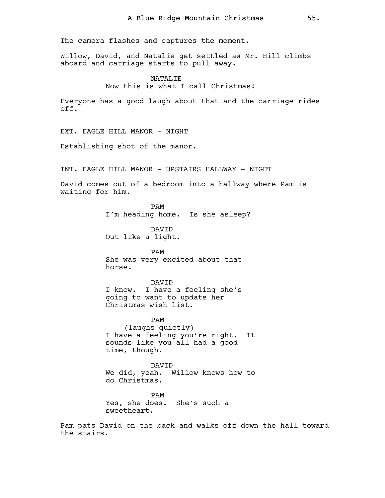The camera flashes and captures the moment.

Willow, David, and Natalie get settled as Mr. Hill climbs aboard and carriage starts to pull away.

> NATALIE Now this is what I call Christmas!

Everyone has a good laugh about that and the carriage rides off.

EXT. EAGLE HILL MANOR - NIGHT

Establishing shot of the manor.

INT. EAGLE HILL MANOR - UPSTAIRS HALLWAY - NIGHT

David comes out of a bedroom into a hallway where Pam is waiting for him.

> PAM I'm heading home. Is she asleep?

DAVID Out like a light.

PAM She was very excited about that horse.

DAVID I know. I have a feeling she's going to want to update her Christmas wish list.

PAM (laughs quietly) I have a feeling you're right. It sounds like you all had a good time, though.

DAVID We did, yeah. Willow knows how to do Christmas.

PAM Yes, she does. She's such a sweetheart.

Pam pats David on the back and walks off down the hall toward the stairs.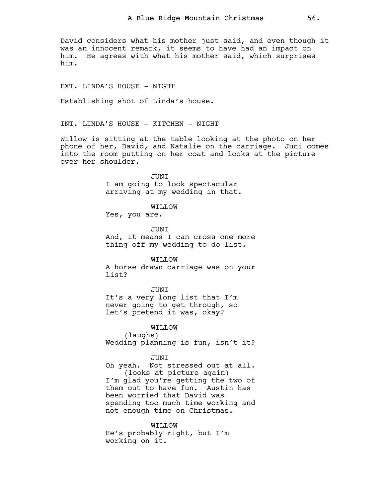David considers what his mother just said, and even though it was an innocent remark, it seems to have had an impact on him. He agrees with what his mother said, which surprises him.

EXT. LINDA'S HOUSE - NIGHT

Establishing shot of Linda's house.

INT. LINDA'S HOUSE - KITCHEN - NIGHT

Willow is sitting at the table looking at the photo on her phone of her, David, and Natalie on the carriage. Juni comes into the room putting on her coat and looks at the picture over her shoulder.

> JUNI I am going to look spectacular arriving at my wedding in that.

> > WILLOW

Yes, you are.

JUNI And, it means I can cross one more thing off my wedding to-do list.

WILLOW

A horse drawn carriage was on your list?

JUNI

It's a very long list that I'm never going to get through, so let's pretend it was, okay?

WILLOW (laughs) Wedding planning is fun, isn't it?

**JUNT** 

Oh yeah. Not stressed out at all. (looks at picture again)

I'm glad you're getting the two of them out to have fun. Austin has been worried that David was spending too much time working and not enough time on Christmas.

WILLOW He's probably right, but I'm working on it.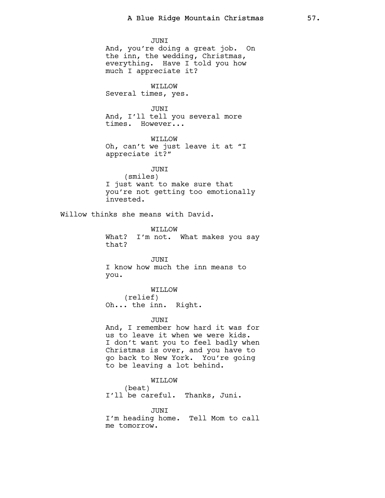JUNI And, you're doing a great job. On the inn, the wedding, Christmas, everything. Have I told you how much I appreciate it?

WILLOW Several times, yes.

**JUNT** And, I'll tell you several more times. However...

WILLOW Oh, can't we just leave it at "I appreciate it?"

JUNI (smiles) I just want to make sure that you're not getting too emotionally invested.

Willow thinks she means with David.

WILLOW What? I'm not. What makes you say that?

JUNI I know how much the inn means to you.

WILLOW (relief) Oh... the inn. Right.

JUNI

And, I remember how hard it was for us to leave it when we were kids. I don't want you to feel badly when Christmas is over, and you have to go back to New York. You're going to be leaving a lot behind.

WILLOW (beat) I'll be careful. Thanks, Juni.

JUNI I'm heading home. Tell Mom to call me tomorrow.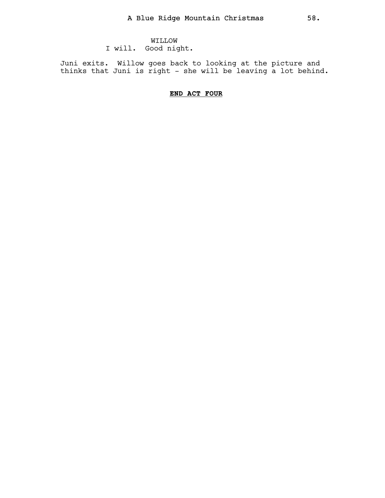WILLOW I will. Good night.

Juni exits. Willow goes back to looking at the picture and thinks that Juni is right - she will be leaving a lot behind.

# END ACT FOUR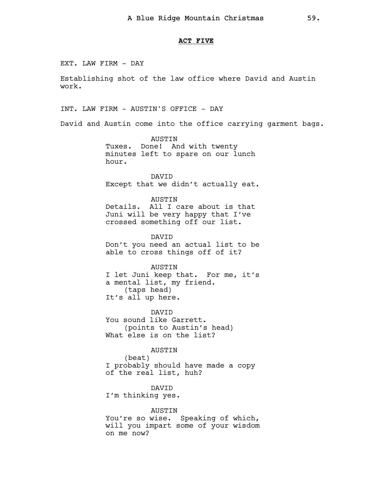### ACT FIVE

EXT. LAW FIRM - DAY

Establishing shot of the law office where David and Austin work.

INT. LAW FIRM - AUSTIN'S OFFICE - DAY

David and Austin come into the office carrying garment bags.

AUSTIN Tuxes. Done! And with twenty minutes left to spare on our lunch hour.

DAVID Except that we didn't actually eat.

AUSTIN

Details. All I care about is that Juni will be very happy that I've crossed something off our list.

DAVID Don't you need an actual list to be able to cross things off of it?

AUSTIN I let Juni keep that. For me, it's a mental list, my friend. (taps head) It's all up here.

DAVID You sound like Garrett. (points to Austin's head) What else is on the list?

AUSTIN

(beat) I probably should have made a copy of the real list, huh?

DAVID I'm thinking yes.

AUSTIN You're so wise. Speaking of which, will you impart some of your wisdom on me now?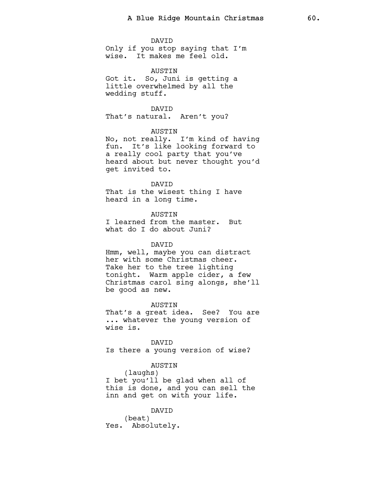#### DAVID

Only if you stop saying that I'm wise. It makes me feel old.

## AUSTIN

Got it. So, Juni is getting a little overwhelmed by all the wedding stuff.

**DAVTD** That's natural. Aren't you?

# AUSTIN

No, not really. I'm kind of having fun. It's like looking forward to a really cool party that you've heard about but never thought you'd get invited to.

#### DAVID

That is the wisest thing I have heard in a long time.

AUSTIN I learned from the master. But what do I do about Juni?

#### DAVID

Hmm, well, maybe you can distract her with some Christmas cheer. Take her to the tree lighting tonight. Warm apple cider, a few Christmas carol sing alongs, she'll be good as new.

AUSTIN That's a great idea. See? You are ... whatever the young version of wise is.

DAVID Is there a young version of wise?

# AUSTIN

(laughs) I bet you'll be glad when all of this is done, and you can sell the inn and get on with your life.

#### DAVID

(beat) Yes. Absolutely.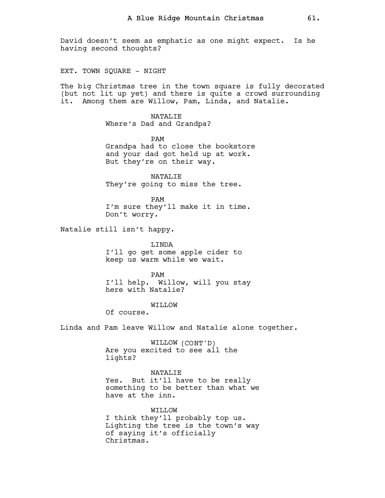David doesn't seem as emphatic as one might expect. Is he having second thoughts?

EXT. TOWN SOUARE - NIGHT

The big Christmas tree in the town square is fully decorated (but not lit up yet) and there is quite a crowd surrounding it. Among them are Willow, Pam, Linda, and Natalie.

> NATALIE Where's Dad and Grandpa?

PAM Grandpa had to close the bookstore and your dad got held up at work. But they're on their way.

NATALIE They're going to miss the tree.

PAM I'm sure they'll make it in time. Don't worry.

Natalie still isn't happy.

LINDA I'll go get some apple cider to keep us warm while we wait.

PAM I'll help. Willow, will you stay here with Natalie?

WILLOW

Of course.

Linda and Pam leave Willow and Natalie alone together.

WILLOW (CONT'D) Are you excited to see all the lights?

NATALIE

Yes. But it'll have to be really something to be better than what we have at the inn.

WILLOW I think they'll probably top us. Lighting the tree is the town's way of saying it's officially Christmas.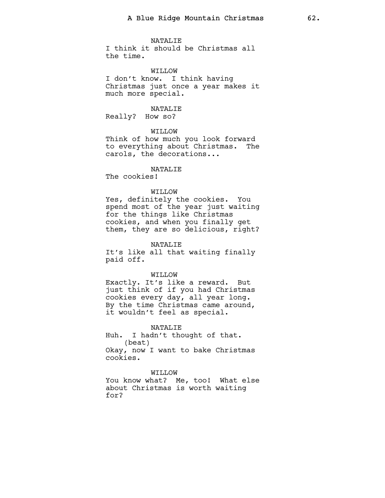NATALIE

I think it should be Christmas all the time.

# WILLOW

I don't know. I think having Christmas just once a year makes it much more special.

## NATALIE

Really? How so?

## WILLOW

Think of how much you look forward to everything about Christmas. The carols, the decorations...

## NATALIE

The cookies!

## WO.T.TTW

Yes, definitely the cookies. You spend most of the year just waiting for the things like Christmas cookies, and when you finally get them, they are so delicious, right?

#### NATALIE

It's like all that waiting finally paid off.

#### WILLOW

Exactly. It's like a reward. But just think of if you had Christmas cookies every day, all year long. By the time Christmas came around, it wouldn't feel as special.

#### NATALIE

Huh. I hadn't thought of that. (beat) Okay, now I want to bake Christmas cookies.

#### WILLOW

You know what? Me, too! What else about Christmas is worth waiting for?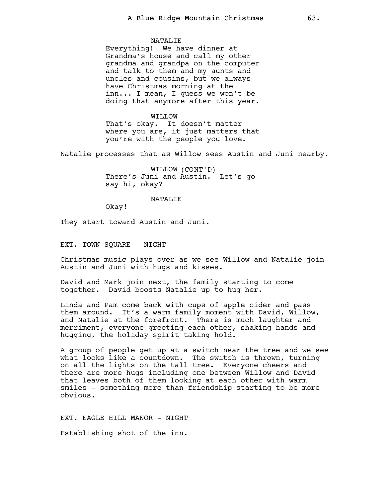#### NATALIE

Everything! We have dinner at Grandma's house and call my other grandma and grandpa on the computer and talk to them and my aunts and uncles and cousins, but we always have Christmas morning at the inn... I mean, I guess we won't be doing that anymore after this year.

WILLOW That's okay. It doesn't matter where you are, it just matters that you're with the people you love.

Natalie processes that as Willow sees Austin and Juni nearby.

WILLOW (CONT'D) There's Juni and Austin. Let's go say hi, okay?

#### NATALIE

Okay!

They start toward Austin and Juni.

EXT. TOWN SQUARE - NIGHT

Christmas music plays over as we see Willow and Natalie join Austin and Juni with hugs and kisses.

David and Mark join next, the family starting to come together. David boosts Natalie up to hug her.

Linda and Pam come back with cups of apple cider and pass them around. It's a warm family moment with David, Willow, and Natalie at the forefront. There is much laughter and merriment, everyone greeting each other, shaking hands and hugging, the holiday spirit taking hold.

A group of people get up at a switch near the tree and we see what looks like a countdown. The switch is thrown, turning on all the lights on the tall tree. Everyone cheers and there are more hugs including one between Willow and David that leaves both of them looking at each other with warm smiles - something more than friendship starting to be more obvious.

EXT. EAGLE HILL MANOR - NIGHT

Establishing shot of the inn.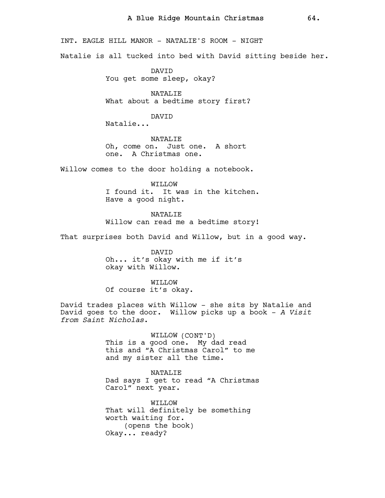INT. EAGLE HILL MANOR - NATALIE'S ROOM - NIGHT

Natalie is all tucked into bed with David sitting beside her.

DAVID You get some sleep, okay?

NATALIE What about a bedtime story first?

DAVID

Natalie...

NATALIE Oh, come on. Just one. A short one. A Christmas one.

Willow comes to the door holding a notebook.

WILLOW I found it. It was in the kitchen. Have a good night.

NATALIE Willow can read me a bedtime story!

That surprises both David and Willow, but in a good way.

DAVID Oh... it's okay with me if it's okay with Willow.

WILLOW Of course it's okay.

David trades places with Willow - she sits by Natalie and David goes to the door. Willow picks up a book - A Visit from Saint Nicholas.

> WILLOW (CONT'D) This is a good one. My dad read this and "A Christmas Carol" to me and my sister all the time.

NATALIE Dad says I get to read "A Christmas Carol" next year.

WILLOW That will definitely be something worth waiting for. (opens the book) Okay... ready?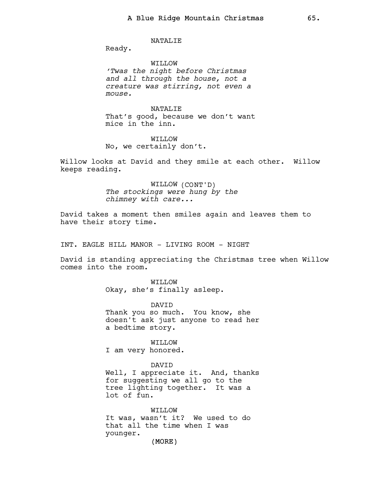NATALIE

Ready.

WILLOW 'Twas the night before Christmas and all through the house, not a creature was stirring, not even a mouse.

NATALIE That's good, because we don't want mice in the inn.

WILLOW No, we certainly don't.

Willow looks at David and they smile at each other. Willow keeps reading.

> WILLOW (CONT'D) The stockings were hung by the chimney with care...

David takes a moment then smiles again and leaves them to have their story time.

INT. EAGLE HILL MANOR - LIVING ROOM - NIGHT

David is standing appreciating the Christmas tree when Willow comes into the room.

> WILLOW Okay, she's finally asleep.

DAVID Thank you so much. You know, she doesn't ask just anyone to read her a bedtime story.

WILLOW I am very honored.

DAVID Well, I appreciate it. And, thanks for suggesting we all go to the tree lighting together. It was a lot of fun.

(MORE) WILLOW It was, wasn't it? We used to do that all the time when I was younger.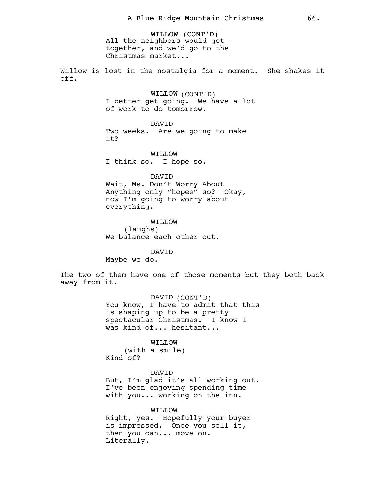WILLOW (CONT'D) All the neighbors would get together, and we'd go to the Christmas market...

Willow is lost in the nostalgia for a moment. She shakes it off.

> WILLOW (CONT'D) I better get going. We have a lot of work to do tomorrow.

DAVID Two weeks. Are we going to make it?

WILLOW I think so. I hope so.

DAVID Wait, Ms. Don't Worry About Anything only "hopes" so? Okay, now I'm going to worry about everything.

WILLOW (laughs) We balance each other out.

DAVID Maybe we do.

The two of them have one of those moments but they both back away from it.

> DAVID (CONT'D) You know, I have to admit that this is shaping up to be a pretty spectacular Christmas. I know I was kind of... hesitant...

WILLOW (with a smile) Kind of?

DAVID But, I'm glad it's all working out. I've been enjoying spending time with you... working on the inn.

WILLOW Right, yes. Hopefully your buyer is impressed. Once you sell it, then you can... move on. Literally.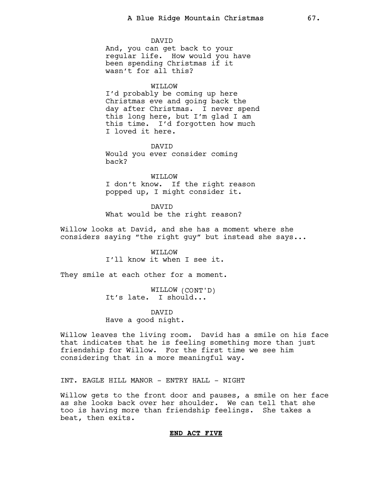DAVID

And, you can get back to your regular life. How would you have been spending Christmas if it wasn't for all this?

## WILLOW

I'd probably be coming up here Christmas eve and going back the day after Christmas. I never spend this long here, but I'm glad I am this time. I'd forgotten how much I loved it here.

DAVID Would you ever consider coming back?

WILLOW I don't know. If the right reason popped up, I might consider it.

DAVID What would be the right reason?

Willow looks at David, and she has a moment where she considers saying "the right guy" but instead she says...

> WILLOW I'll know it when I see it.

They smile at each other for a moment.

WILLOW (CONT'D) It's late. I should...

DAVID Have a good night.

Willow leaves the living room. David has a smile on his face that indicates that he is feeling something more than just friendship for Willow. For the first time we see him considering that in a more meaningful way.

INT. EAGLE HILL MANOR - ENTRY HALL - NIGHT

Willow gets to the front door and pauses, a smile on her face as she looks back over her shoulder. We can tell that she too is having more than friendship feelings. She takes a beat, then exits.

## END ACT FIVE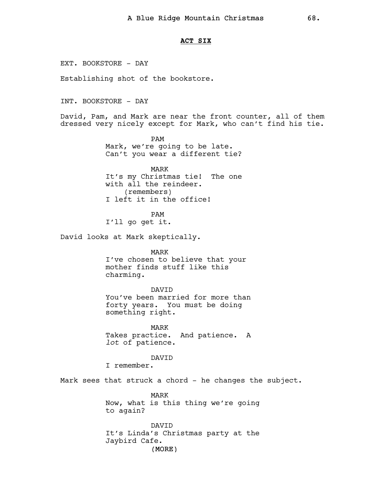### ACT SIX

EXT. BOOKSTORE - DAY

Establishing shot of the bookstore.

INT. BOOKSTORE - DAY

David, Pam, and Mark are near the front counter, all of them dressed very nicely except for Mark, who can't find his tie.

> PAM Mark, we're going to be late. Can't you wear a different tie?

> MARK It's my Christmas tie! The one with all the reindeer. (remembers) I left it in the office!

PAM I'll go get it.

David looks at Mark skeptically.

MARK I've chosen to believe that your mother finds stuff like this charming.

#### DAVID

You've been married for more than forty years. You must be doing something right.

MARK Takes practice. And patience. A lot of patience.

**DAVTD** 

I remember.

Mark sees that struck a chord - he changes the subject.

MARK Now, what is this thing we're going to again?

(MORE) DAVID It's Linda's Christmas party at the Jaybird Cafe.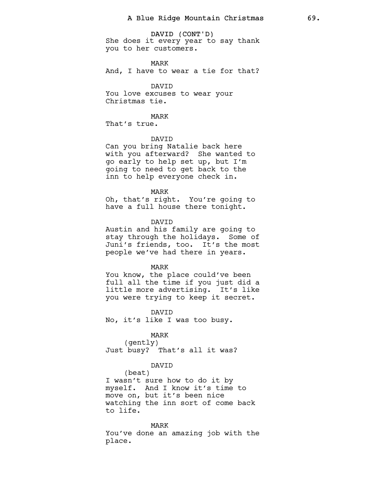DAVID (CONT'D) She does it every year to say thank you to her customers.

MARK

And, I have to wear a tie for that?

# DAVID

You love excuses to wear your Christmas tie.

MARK

That's true.

DAVID

Can you bring Natalie back here with you afterward? She wanted to go early to help set up, but I'm going to need to get back to the inn to help everyone check in.

MARK

Oh, that's right. You're going to have a full house there tonight.

DAVID

Austin and his family are going to stay through the holidays. Some of Juni's friends, too. It's the most people we've had there in years.

#### MARK

You know, the place could've been full all the time if you just did a little more advertising. It's like you were trying to keep it secret.

DAVID No, it's like I was too busy.

# MARK

(gently) Just busy? That's all it was?

## DAVID

(beat) I wasn't sure how to do it by myself. And I know it's time to move on, but it's been nice watching the inn sort of come back to life.

#### MARK

You've done an amazing job with the place.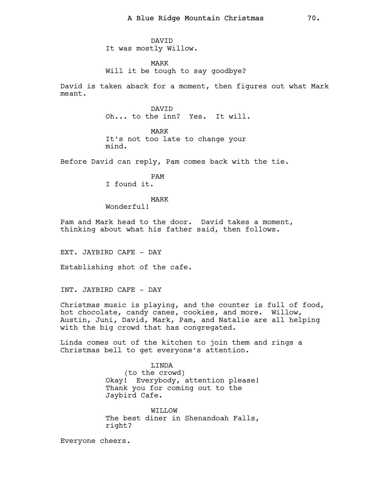DAVID It was mostly Willow.

MARK Will it be tough to say goodbye?

David is taken aback for a moment, then figures out what Mark meant.

> DAVID Oh... to the inn? Yes. It will.

MARK It's not too late to change your mind.

Before David can reply, Pam comes back with the tie.

PAM I found it.

MARK

Wonderful!

Pam and Mark head to the door. David takes a moment, thinking about what his father said, then follows.

EXT. JAYBIRD CAFE - DAY

Establishing shot of the cafe.

INT. JAYBIRD CAFE - DAY

Christmas music is playing, and the counter is full of food, hot chocolate, candy canes, cookies, and more. Willow, Austin, Juni, David, Mark, Pam, and Natalie are all helping with the big crowd that has congregated.

Linda comes out of the kitchen to join them and rings a Christmas bell to get everyone's attention.

> LINDA (to the crowd) Okay! Everybody, attention please! Thank you for coming out to the Jaybird Cafe.

> WO.T.TTW The best diner in Shenandoah Falls, right?

Everyone cheers.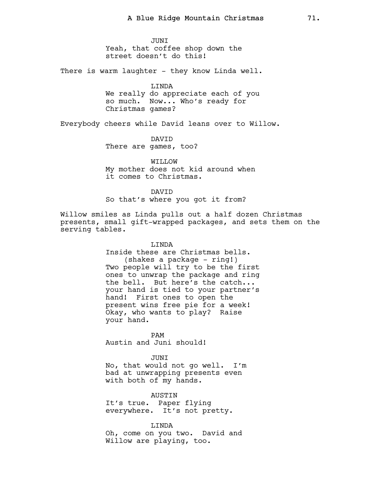JUNI Yeah, that coffee shop down the street doesn't do this!

There is warm laughter - they know Linda well.

LINDA We really do appreciate each of you so much. Now... Who's ready for Christmas games?

Everybody cheers while David leans over to Willow.

DAVID There are games, too?

WILLOW My mother does not kid around when it comes to Christmas.

**DAVTD** So that's where you got it from?

Willow smiles as Linda pulls out a half dozen Christmas presents, small gift-wrapped packages, and sets them on the serving tables.

> LINDA Inside these are Christmas bells. (shakes a package - ring!) Two people will try to be the first ones to unwrap the package and ring the bell. But here's the catch... your hand is tied to your partner's hand! First ones to open the present wins free pie for a week! Okay, who wants to play? Raise your hand.

PAM Austin and Juni should!

JUNI No, that would not go well. I'm bad at unwrapping presents even with both of my hands.

AUSTIN It's true. Paper flying everywhere. It's not pretty.

LINDA Oh, come on you two. David and Willow are playing, too.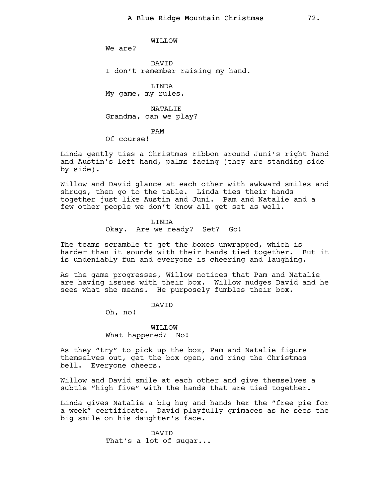WILLOW

We are?

DAVID I don't remember raising my hand.

LINDA My game, my rules.

NATALIF. Grandma, can we play?

PAM

Of course!

Linda gently ties a Christmas ribbon around Juni's right hand and Austin's left hand, palms facing (they are standing side by side).

Willow and David glance at each other with awkward smiles and shrugs, then go to the table. Linda ties their hands together just like Austin and Juni. Pam and Natalie and a few other people we don't know all get set as well.

> LINDA Okay. Are we ready? Set? Go!

The teams scramble to get the boxes unwrapped, which is harder than it sounds with their hands tied together. But it is undeniably fun and everyone is cheering and laughing.

As the game progresses, Willow notices that Pam and Natalie are having issues with their box. Willow nudges David and he sees what she means. He purposely fumbles their box.

DAVID

Oh, no!

WILLOW What happened? No!

As they "try" to pick up the box, Pam and Natalie figure themselves out, get the box open, and ring the Christmas bell. Everyone cheers.

Willow and David smile at each other and give themselves a subtle "high five" with the hands that are tied together.

Linda gives Natalie a big hug and hands her the "free pie for a week" certificate. David playfully grimaces as he sees the big smile on his daughter's face.

> DAVID That's a lot of sugar...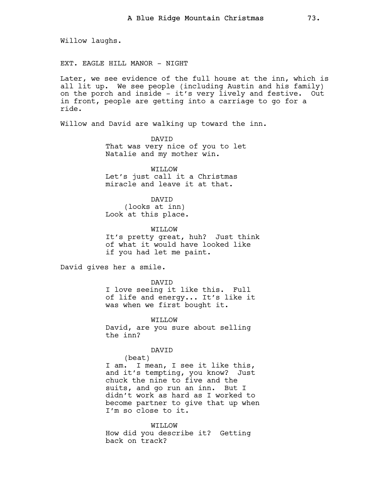Willow laughs.

EXT. EAGLE HILL MANOR - NIGHT

Later, we see evidence of the full house at the inn, which is all lit up. We see people (including Austin and his family) on the porch and inside - it's very lively and festive. Out in front, people are getting into a carriage to go for a ride.

Willow and David are walking up toward the inn.

DAVID That was very nice of you to let Natalie and my mother win.

WILLOW Let's just call it a Christmas miracle and leave it at that.

DAVID (looks at inn) Look at this place.

WILLOW It's pretty great, huh? Just think of what it would have looked like if you had let me paint.

David gives her a smile.

DAVID

I love seeing it like this. Full of life and energy... It's like it was when we first bought it.

WILLOW

David, are you sure about selling the inn?

DAVID

(beat) I am. I mean, I see it like this, and it's tempting, you know? Just chuck the nine to five and the suits, and go run an inn. But I didn't work as hard as I worked to become partner to give that up when I'm so close to it.

WILLOW How did you describe it? Getting back on track?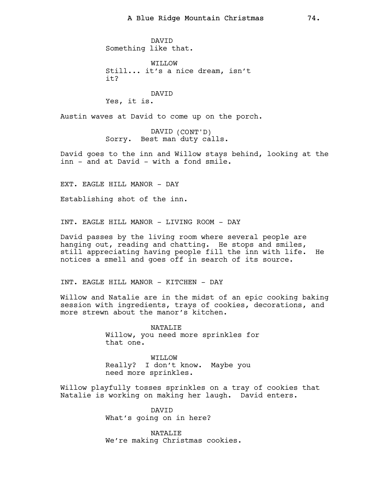DAVID Something like that.

WILLOW Still... it's a nice dream, isn't it?

# DAVID Yes, it is.

Austin waves at David to come up on the porch.

DAVID (CONT'D) Sorry. Best man duty calls.

David goes to the inn and Willow stays behind, looking at the inn - and at David - with a fond smile.

EXT. EAGLE HILL MANOR - DAY

Establishing shot of the inn.

INT. EAGLE HILL MANOR - LIVING ROOM - DAY

David passes by the living room where several people are hanging out, reading and chatting. He stops and smiles, still appreciating having people fill the inn with life. He notices a smell and goes off in search of its source.

INT. EAGLE HILL MANOR - KITCHEN - DAY

Willow and Natalie are in the midst of an epic cooking baking session with ingredients, trays of cookies, decorations, and more strewn about the manor's kitchen.

> NATALIE Willow, you need more sprinkles for that one.

WILLOW Really? I don't know. Maybe you need more sprinkles.

Willow playfully tosses sprinkles on a tray of cookies that Natalie is working on making her laugh. David enters.

> DAVID What's going on in here?

NATALIE We're making Christmas cookies.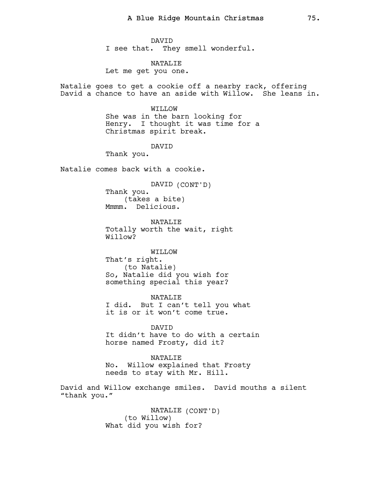DAVID I see that. They smell wonderful.

NATALIE Let me get you one.

Natalie goes to get a cookie off a nearby rack, offering David a chance to have an aside with Willow. She leans in.

> WIT.T.OW She was in the barn looking for Henry. I thought it was time for a Christmas spirit break.

> > DAVID

Thank you.

Natalie comes back with a cookie.

DAVID (CONT'D) Thank you. (takes a bite) Mmmm. Delicious.

NATALIE Totally worth the wait, right Willow?

WILLOW That's right. (to Natalie) So, Natalie did you wish for something special this year?

NATALIE I did. But I can't tell you what it is or it won't come true.

DAVID It didn't have to do with a certain horse named Frosty, did it?

NATALIE No. Willow explained that Frosty needs to stay with Mr. Hill.

David and Willow exchange smiles. David mouths a silent "thank you."

> NATALIE (CONT'D) (to Willow) What did you wish for?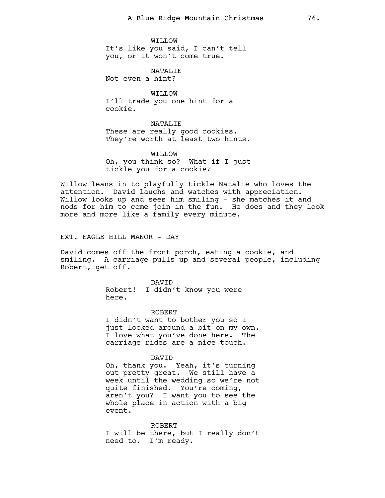WILLOW It's like you said, I can't tell you, or it won't come true.

NATALIE Not even a hint?

WILLOW I'll trade you one hint for a cookie.

NATALIE These are really good cookies. They're worth at least two hints.

WILLOW Oh, you think so? What if I just tickle you for a cookie?

Willow leans in to playfully tickle Natalie who loves the attention. David laughs and watches with appreciation. Willow looks up and sees him smiling - she matches it and nods for him to come join in the fun. He does and they look more and more like a family every minute.

EXT. EAGLE HILL MANOR - DAY

David comes off the front porch, eating a cookie, and smiling. A carriage pulls up and several people, including Robert, get off.

> DAVID Robert! I didn't know you were here.

> > ROBERT

I didn't want to bother you so I just looked around a bit on my own. I love what you've done here. The carriage rides are a nice touch.

DAVID

Oh, thank you. Yeah, it's turning out pretty great. We still have a week until the wedding so we're not quite finished. You're coming, aren't you? I want you to see the whole place in action with a big event.

ROBERT I will be there, but I really don't need to. I'm ready.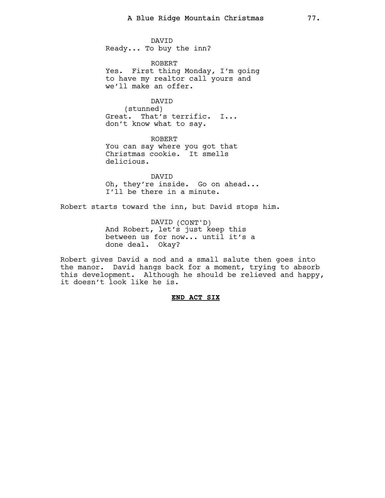DAVID Ready... To buy the inn?

ROBERT Yes. First thing Monday, I'm going to have my realtor call yours and we'll make an offer.

DAVID (stunned) Great. That's terrific. I... don't know what to say.

ROBERT You can say where you got that Christmas cookie. It smells delicious.

DAVID Oh, they're inside. Go on ahead... I'll be there in a minute.

Robert starts toward the inn, but David stops him.

DAVID (CONT'D) And Robert, let's just keep this between us for now... until it's a done deal. Okay?

Robert gives David a nod and a small salute then goes into the manor. David hangs back for a moment, trying to absorb this development. Although he should be relieved and happy, it doesn't look like he is.

# END ACT SIX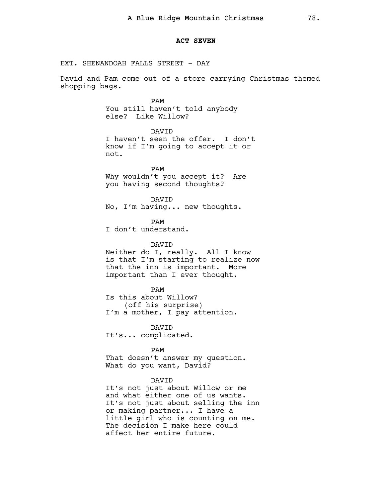## ACT SEVEN

EXT. SHENANDOAH FALLS STREET - DAY

David and Pam come out of a store carrying Christmas themed shopping bags.

> PAM You still haven't told anybody else? Like Willow?

DAVID I haven't seen the offer. I don't know if I'm going to accept it or not.

PAM Why wouldn't you accept it? Are you having second thoughts?

DAVID No, I'm having... new thoughts.

PAM I don't understand.

DAVID Neither do I, really. All I know is that I'm starting to realize now that the inn is important. More important than I ever thought.

# PAM

Is this about Willow? (off his surprise) I'm a mother, I pay attention.

DAVID It's... complicated.

PAM

That doesn't answer my question. What do you want, David?

## DAVID

It's not just about Willow or me and what either one of us wants. It's not just about selling the inn or making partner... I have a little girl who is counting on me. The decision I make here could affect her entire future.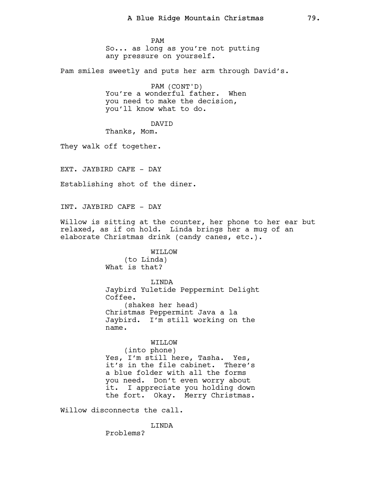PAM So... as long as you're not putting any pressure on yourself.

Pam smiles sweetly and puts her arm through David's.

PAM (CONT'D) You're a wonderful father. When you need to make the decision, you'll know what to do.

DAVID

Thanks, Mom.

They walk off together.

EXT. JAYBIRD CAFE - DAY

Establishing shot of the diner.

INT. JAYBIRD CAFE - DAY

Willow is sitting at the counter, her phone to her ear but relaxed, as if on hold. Linda brings her a mug of an elaborate Christmas drink (candy canes, etc.).

> WILLOW (to Linda) What is that?

LINDA Jaybird Yuletide Peppermint Delight Coffee. (shakes her head) Christmas Peppermint Java a la Jaybird. I'm still working on the name.

WILLOW (into phone) Yes, I'm still here, Tasha. Yes, it's in the file cabinet. There's a blue folder with all the forms you need. Don't even worry about it. I appreciate you holding down the fort. Okay. Merry Christmas.

Willow disconnects the call.

LINDA

Problems?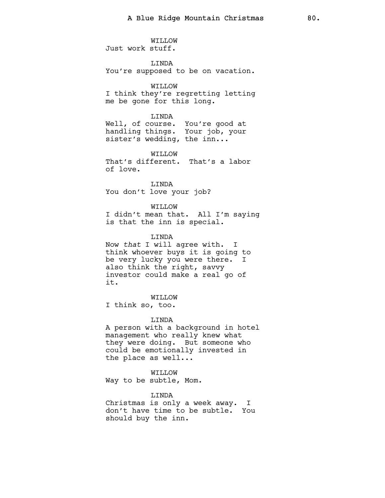WILLOW Just work stuff.

LINDA You're supposed to be on vacation.

WILLOW I think they're regretting letting me be gone for this long.

# LINDA

Well, of course. You're good at handling things. Your job, your sister's wedding, the inn...

WILLOW That's different. That's a labor of love.

LINDA You don't love your job?

WILLOW

I didn't mean that. All I'm saying is that the inn is special.

LINDA

Now that I will agree with. I think whoever buys it is going to be very lucky you were there. I also think the right, savvy investor could make a real go of it.

WILLOW

I think so, too.

LINDA

A person with a background in hotel management who really knew what they were doing. But someone who could be emotionally invested in the place as well...

WILLOW Way to be subtle, Mom.

LINDA

Christmas is only a week away. I don't have time to be subtle. You should buy the inn.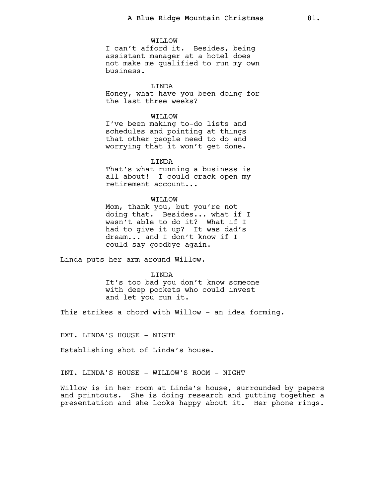#### WILLOW

I can't afford it. Besides, being assistant manager at a hotel does not make me qualified to run my own business.

# LINDA

Honey, what have you been doing for the last three weeks?

## WILLOW

I've been making to-do lists and schedules and pointing at things that other people need to do and worrying that it won't get done.

# LINDA

That's what running a business is all about! I could crack open my retirement account...

#### WILLOW

Mom, thank you, but you're not doing that. Besides... what if I wasn't able to do it? What if I had to give it up? It was dad's dream... and I don't know if I could say goodbye again.

Linda puts her arm around Willow.

### LINDA

It's too bad you don't know someone with deep pockets who could invest and let you run it.

This strikes a chord with Willow - an idea forming.

EXT. LINDA'S HOUSE - NIGHT

Establishing shot of Linda's house.

INT. LINDA'S HOUSE - WILLOW'S ROOM - NIGHT

Willow is in her room at Linda's house, surrounded by papers and printouts. She is doing research and putting together a presentation and she looks happy about it. Her phone rings.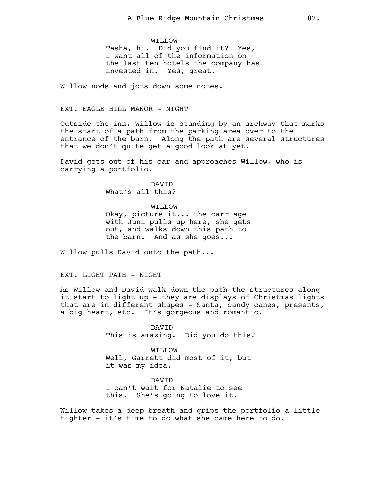WILLOW Tasha, hi. Did you find it? Yes, I want all of the information on the last ten hotels the company has invested in. Yes, great.

Willow nods and jots down some notes.

# EXT. EAGLE HILL MANOR - NIGHT

Outside the inn, Willow is standing by an archway that marks the start of a path from the parking area over to the entrance of the barn. Along the path are several structures that we don't quite get a good look at yet.

David gets out of his car and approaches Willow, who is carrying a portfolio.

> DAVID What's all this?

WILLOW Okay, picture it... the carriage with Juni pulls up here, she gets out, and walks down this path to the barn. And as she goes...

Willow pulls David onto the path...

# EXT. LIGHT PATH - NIGHT

As Willow and David walk down the path the structures along it start to light up - they are displays of Christmas lights that are in different shapes - Santa, candy canes, presents, a big heart, etc. It's gorgeous and romantic.

> DAVID This is amazing. Did you do this?

WILLOW Well, Garrett did most of it, but it was my idea.

DAVID I can't wait for Natalie to see this. She's going to love it.

Willow takes a deep breath and grips the portfolio a little tighter - it's time to do what she came here to do.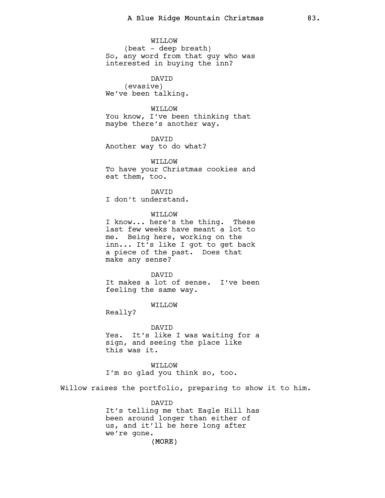WILLOW (beat - deep breath) So, any word from that guy who was interested in buying the inn?

DAVID (evasive) We've been talking.

# WILLOW

You know, I've been thinking that maybe there's another way.

DAVID Another way to do what?

WO.T.TTW To have your Christmas cookies and eat them, too.

**DAVTD** I don't understand.

# WILLOW

I know... here's the thing. These last few weeks have meant a lot to me. Being here, working on the inn... It's like I got to get back a piece of the past. Does that make any sense?

## **DAVTD**

It makes a lot of sense. I've been feeling the same way.

# WILLOW

Really?

DAVID Yes. It's like I was waiting for a sign, and seeing the place like this was it.

WILLOW I'm so glad you think so, too.

Willow raises the portfolio, preparing to show it to him.

### DAVID

It's telling me that Eagle Hill has been around longer than either of us, and it'll be here long after we're gone.

(MORE)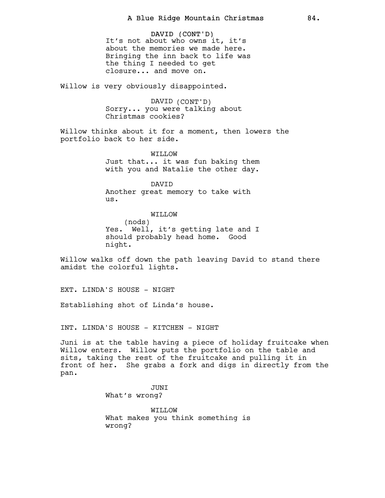DAVID (CONT'D) It's not about who owns it, it's about the memories we made here. Bringing the inn back to life was the thing I needed to get closure... and move on.

Willow is very obviously disappointed.

DAVID (CONT'D) Sorry... you were talking about Christmas cookies?

Willow thinks about it for a moment, then lowers the portfolio back to her side.

> WILLOW Just that... it was fun baking them with you and Natalie the other day.

DAVID Another great memory to take with us.

WILLOW (nods) Yes. Well, it's getting late and I should probably head home. Good night.

Willow walks off down the path leaving David to stand there amidst the colorful lights.

EXT. LINDA'S HOUSE - NIGHT

Establishing shot of Linda's house.

INT. LINDA'S HOUSE - KITCHEN - NIGHT

Juni is at the table having a piece of holiday fruitcake when Willow enters. Willow puts the portfolio on the table and sits, taking the rest of the fruitcake and pulling it in front of her. She grabs a fork and digs in directly from the pan.

> JUNI What's wrong?

WILLOW What makes you think something is wrong?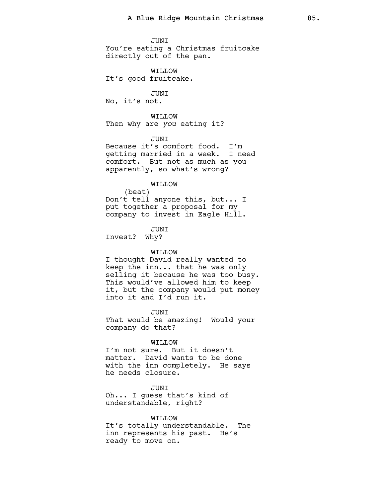JUNI You're eating a Christmas fruitcake directly out of the pan.

WILLOW It's good fruitcake.

JUNI No, it's not.

WILLOW Then why are you eating it?

JUNI

Because it's comfort food. I'm getting married in a week. I need comfort. But not as much as you apparently, so what's wrong?

WILLOW

(beat) Don't tell anyone this, but... I put together a proposal for my company to invest in Eagle Hill.

JUNI

Invest? Why?

# WILLOW

I thought David really wanted to keep the inn... that he was only selling it because he was too busy. This would've allowed him to keep it, but the company would put money into it and I'd run it.

JUNI

That would be amazing! Would your company do that?

### WILLOW

I'm not sure. But it doesn't matter. David wants to be done with the inn completely. He says he needs closure.

JUNI Oh... I guess that's kind of understandable, right?

WILLOW It's totally understandable. The inn represents his past. He's ready to move on.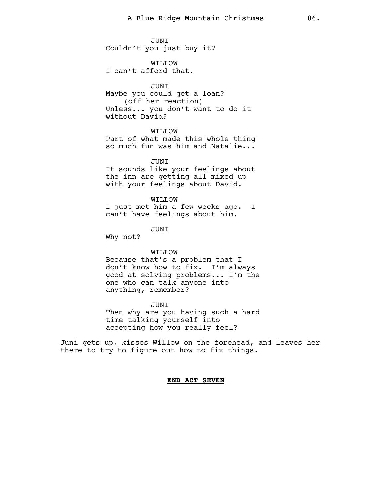JUNI Couldn't you just buy it?

WILLOW I can't afford that.

# JUNI

Maybe you could get a loan? (off her reaction) Unless... you don't want to do it without David?

# WILLOW

Part of what made this whole thing so much fun was him and Natalie...

### **JUNT**

It sounds like your feelings about the inn are getting all mixed up with your feelings about David.

WILLOW I just met him a few weeks ago. I can't have feelings about him.

# JUNI

Why not?

# WILLOW

Because that's a problem that I don't know how to fix. I'm always good at solving problems... I'm the one who can talk anyone into anything, remember?

### JUNI

Then why are you having such a hard time talking yourself into accepting how you really feel?

Juni gets up, kisses Willow on the forehead, and leaves her there to try to figure out how to fix things.

# END ACT SEVEN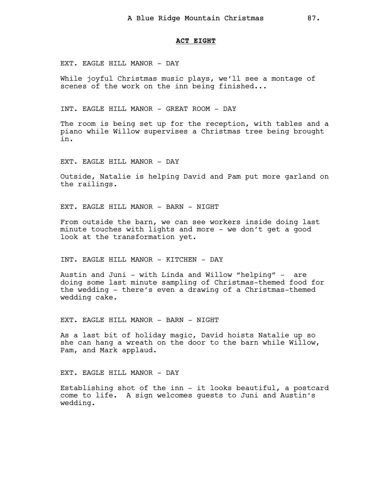## ACT EIGHT

EXT. EAGLE HILL MANOR - DAY

While joyful Christmas music plays, we'll see a montage of scenes of the work on the inn being finished...

INT. EAGLE HILL MANOR - GREAT ROOM - DAY

The room is being set up for the reception, with tables and a piano while Willow supervises a Christmas tree being brought in.

EXT. EAGLE HILL MANOR - DAY

Outside, Natalie is helping David and Pam put more garland on the railings.

EXT. EAGLE HILL MANOR - BARN - NIGHT

From outside the barn, we can see workers inside doing last minute touches with lights and more - we don't get a good look at the transformation yet.

INT. EAGLE HILL MANOR - KITCHEN - DAY

Austin and Juni - with Linda and Willow "helping" - are doing some last minute sampling of Christmas-themed food for the wedding - there's even a drawing of a Christmas-themed wedding cake.

EXT. EAGLE HILL MANOR - BARN - NIGHT

As a last bit of holiday magic, David hoists Natalie up so she can hang a wreath on the door to the barn while Willow, Pam, and Mark applaud.

EXT. EAGLE HILL MANOR - DAY

Establishing shot of the inn - it looks beautiful, a postcard come to life. A sign welcomes guests to Juni and Austin's wedding.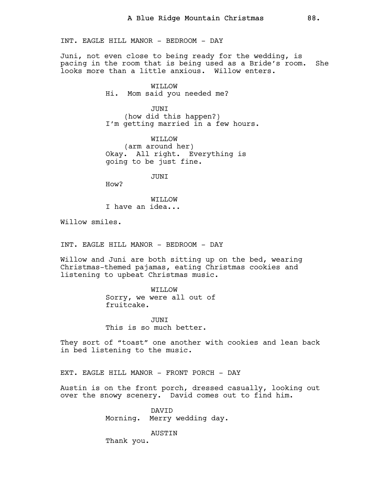INT. EAGLE HILL MANOR - BEDROOM - DAY

Juni, not even close to being ready for the wedding, is pacing in the room that is being used as a Bride's room. She looks more than a little anxious. Willow enters.

> WILLOW Hi. Mom said you needed me?

**JUNT** (how did this happen?) I'm getting married in a few hours.

WILLOW (arm around her) Okay. All right. Everything is going to be just fine.

JUNI

How?

WILLOW I have an idea...

Willow smiles.

INT. EAGLE HILL MANOR - BEDROOM - DAY

Willow and Juni are both sitting up on the bed, wearing Christmas-themed pajamas, eating Christmas cookies and listening to upbeat Christmas music.

> WILLOW Sorry, we were all out of fruitcake.

**JUNT** This is so much better.

They sort of "toast" one another with cookies and lean back in bed listening to the music.

EXT. EAGLE HILL MANOR - FRONT PORCH - DAY

Austin is on the front porch, dressed casually, looking out over the snowy scenery. David comes out to find him.

> DAVID Morning. Merry wedding day.

> > AUSTIN

Thank you.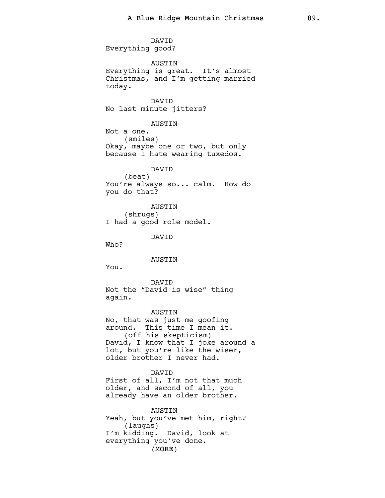(MORE) DAVID Everything good? AUSTIN Everything is great. It's almost Christmas, and I'm getting married today. DAVID No last minute jitters? AUSTIN Not a one. (smiles) Okay, maybe one or two, but only because I hate wearing tuxedos. DAVID (beat) You're always so... calm. How do you do that? AUSTIN (shrugs) I had a good role model. DAVID Who? AUSTIN You. DAVID Not the "David is wise" thing again. AUSTIN No, that was just me goofing around. This time I mean it. (off his skepticism) David, I know that I joke around a lot, but you're like the wiser, older brother I never had. DAVID First of all, I'm not that much older, and second of all, you already have an older brother. AUSTIN Yeah, but you've met him, right? (laughs) I'm kidding. David, look at everything you've done.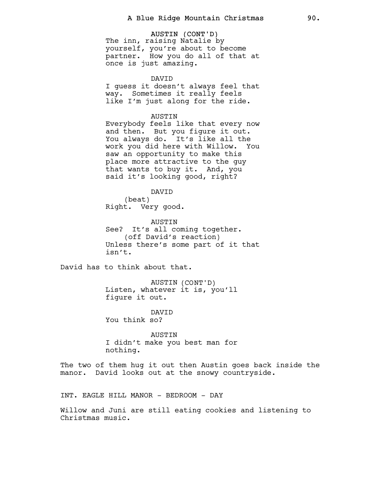AUSTIN (CONT'D) The inn, raising Natalie by yourself, you're about to become partner. How you do all of that at once is just amazing.

DAVID I guess it doesn't always feel that way. Sometimes it really feels like I'm just along for the ride.

AUSTIN

Everybody feels like that every now and then. But you figure it out. You always do. It's like all the work you did here with Willow. You saw an opportunity to make this place more attractive to the guy that wants to buy it. And, you said it's looking good, right?

DAVID

(beat) Right. Very good.

AUSTIN See? It's all coming together. (off David's reaction) Unless there's some part of it that isn't.

David has to think about that.

AUSTIN (CONT'D) Listen, whatever it is, you'll figure it out.

DAVID You think so?

AUSTIN I didn't make you best man for nothing.

The two of them hug it out then Austin goes back inside the manor. David looks out at the snowy countryside.

INT. EAGLE HILL MANOR - BEDROOM - DAY

Willow and Juni are still eating cookies and listening to Christmas music.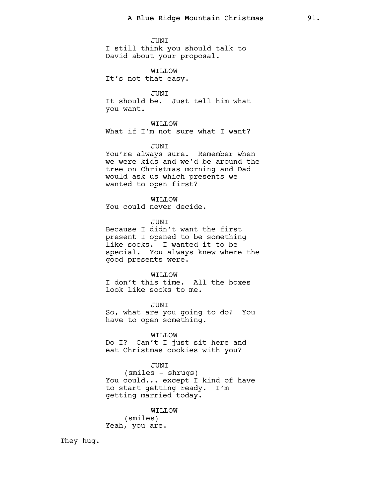#### JUNI

I still think you should talk to David about your proposal.

WILLOW It's not that easy.

JUNI It should be. Just tell him what you want.

WILLOW What if I'm not sure what I want?

# JUNI

You're always sure. Remember when we were kids and we'd be around the tree on Christmas morning and Dad would ask us which presents we wanted to open first?

WILLOW You could never decide.

**JUNT** 

Because I didn't want the first present I opened to be something like socks. I wanted it to be special. You always knew where the good presents were.

# WO.T.TTW

I don't this time. All the boxes look like socks to me.

JUNI So, what are you going to do? You have to open something.

WILLOW Do I? Can't I just sit here and eat Christmas cookies with you?

## JUNI

(smiles - shrugs) You could... except I kind of have to start getting ready. I'm getting married today.

WILLOW

(smiles) Yeah, you are.

They hug.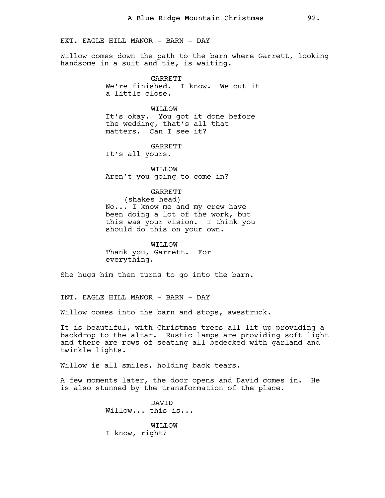EXT. EAGLE HILL MANOR - BARN - DAY

Willow comes down the path to the barn where Garrett, looking handsome in a suit and tie, is waiting.

> **GARRETT** We're finished. I know. We cut it a little close.

WO.T.TTW It's okay. You got it done before the wedding, that's all that matters. Can I see it?

GARRETT It's all yours.

WILLOW Aren't you going to come in?

# GARRETT

(shakes head) No... I know me and my crew have been doing a lot of the work, but this was your vision. I think you should do this on your own.

WO.T.TTW Thank you, Garrett. For everything.

She hugs him then turns to go into the barn.

INT. EAGLE HILL MANOR - BARN - DAY

Willow comes into the barn and stops, awestruck.

It is beautiful, with Christmas trees all lit up providing a backdrop to the altar. Rustic lamps are providing soft light and there are rows of seating all bedecked with garland and twinkle lights.

Willow is all smiles, holding back tears.

A few moments later, the door opens and David comes in. He is also stunned by the transformation of the place.

> DAVID Willow... this is... WILLOW I know, right?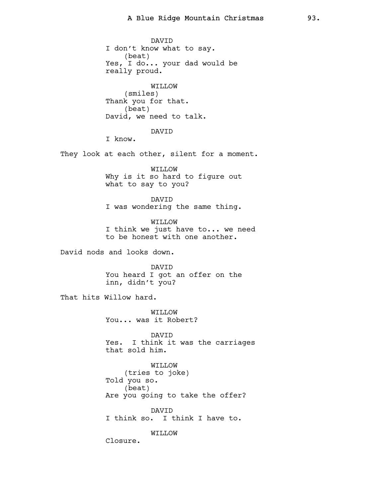DAVID I don't know what to say. (beat) Yes, I do... your dad would be really proud. WILLOW (smiles) Thank you for that. (beat) David, we need to talk. DAVID I know. They look at each other, silent for a moment. WILLOW Why is it so hard to figure out what to say to you? DAVID I was wondering the same thing. WILLOW I think we just have to... we need to be honest with one another. David nods and looks down. DAVID You heard I got an offer on the inn, didn't you? That hits Willow hard. WILLOW You... was it Robert? DAVID Yes. I think it was the carriages that sold him. WILLOW (tries to joke) Told you so. (beat) Are you going to take the offer? DAVID I think so. I think I have to. WILLOW Closure.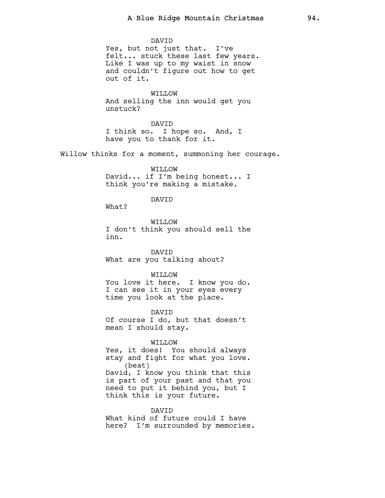## DAVID

Yes, but not just that. I've felt... stuck these last few years. Like I was up to my waist in snow and couldn't figure out how to get out of it.

WILLOW

And selling the inn would get you unstuck?

DAVID

I think so. I hope so. And, I have you to thank for it.

Willow thinks for a moment, summoning her courage.

WILLOW David... if I'm being honest... I think you're making a mistake.

# DAVID

What?

WILLOW I don't think you should sell the inn.

DAVID What are you talking about?

# WILLOW

You love it here. I know you do. I can see it in your eyes every time you look at the place.

DAVID

Of course I do, but that doesn't mean I should stay.

### WILLOW

Yes, it does! You should always stay and fight for what you love. (beat) David, I know you think that this is part of your past and that you need to put it behind you, but I think this is your future.

DAVID What kind of future could I have here? I'm surrounded by memories.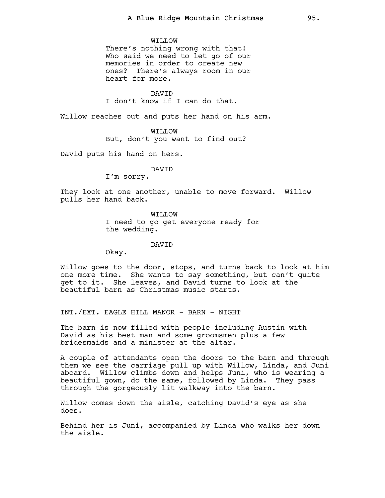### WILLOW

There's nothing wrong with that! Who said we need to let go of our memories in order to create new ones? There's always room in our heart for more.

**DAVTD** I don't know if I can do that.

Willow reaches out and puts her hand on his arm.

# WILLOW

But, don't you want to find out?

David puts his hand on hers.

### DAVID

I'm sorry.

They look at one another, unable to move forward. Willow pulls her hand back.

> WILLOW I need to go get everyone ready for the wedding.

### DAVID

Okay.

Willow goes to the door, stops, and turns back to look at him one more time. She wants to say something, but can't quite get to it. She leaves, and David turns to look at the beautiful barn as Christmas music starts.

INT./EXT. EAGLE HILL MANOR - BARN - NIGHT

The barn is now filled with people including Austin with David as his best man and some groomsmen plus a few bridesmaids and a minister at the altar.

A couple of attendants open the doors to the barn and through them we see the carriage pull up with Willow, Linda, and Juni aboard. Willow climbs down and helps Juni, who is wearing a beautiful gown, do the same, followed by Linda. They pass through the gorgeously lit walkway into the barn.

Willow comes down the aisle, catching David's eye as she does.

Behind her is Juni, accompanied by Linda who walks her down the aisle.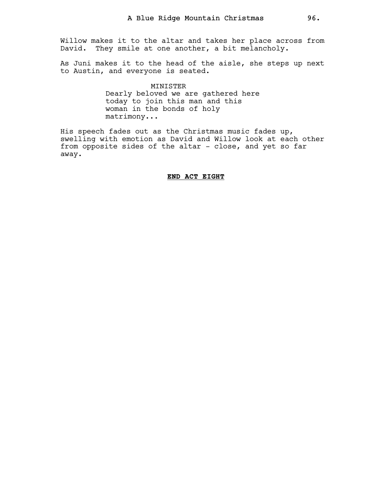Willow makes it to the altar and takes her place across from David. They smile at one another, a bit melancholy.

As Juni makes it to the head of the aisle, she steps up next to Austin, and everyone is seated.

> MINISTER Dearly beloved we are gathered here today to join this man and this woman in the bonds of holy matrimony...

His speech fades out as the Christmas music fades up, swelling with emotion as David and Willow look at each other from opposite sides of the altar - close, and yet so far away.

# END ACT EIGHT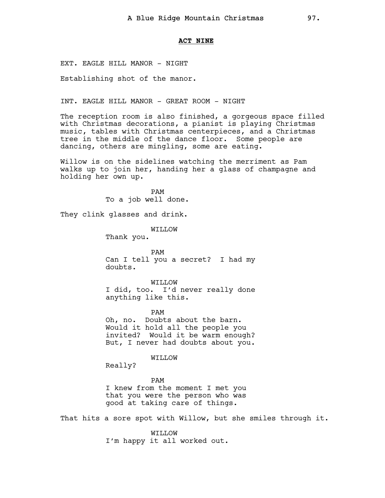## ACT NINE

EXT. EAGLE HILL MANOR - NIGHT

Establishing shot of the manor.

INT. EAGLE HILL MANOR - GREAT ROOM - NIGHT

The reception room is also finished, a gorgeous space filled with Christmas decorations, a pianist is playing Christmas music, tables with Christmas centerpieces, and a Christmas tree in the middle of the dance floor. Some people are dancing, others are mingling, some are eating.

Willow is on the sidelines watching the merriment as Pam walks up to join her, handing her a glass of champagne and holding her own up.

> PAM To a job well done.

They clink glasses and drink.

WILLOW

Thank you.

PAM Can I tell you a secret? I had my doubts.

WILLOW I did, too. I'd never really done anything like this.

PAM Oh, no. Doubts about the barn. Would it hold all the people you invited? Would it be warm enough? But, I never had doubts about you.

# WILLOW

Really?

## PAM

I knew from the moment I met you that you were the person who was good at taking care of things.

That hits a sore spot with Willow, but she smiles through it.

WILLOW I'm happy it all worked out.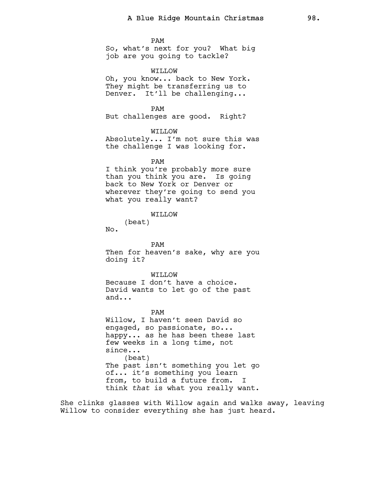PAM

So, what's next for you? What big job are you going to tackle?

WILLOW

Oh, you know... back to New York. They might be transferring us to Denver. It'll be challenging...

PAM But challenges are good. Right?

WILLOW Absolutely... I'm not sure this was

the challenge I was looking for.

PAM

I think you're probably more sure than you think you are. Is going back to New York or Denver or wherever they're going to send you what you really want?

WILLOW

(beat)

No.

PAM Then for heaven's sake, why are you doing it?

WO.T.TTW

Because I don't have a choice. David wants to let go of the past and...

PAM

Willow, I haven't seen David so engaged, so passionate, so... happy... as he has been these last few weeks in a long time, not since... (beat) The past isn't something you let go of... it's something you learn from, to build a future from. I think that is what you really want.

She clinks glasses with Willow again and walks away, leaving Willow to consider everything she has just heard.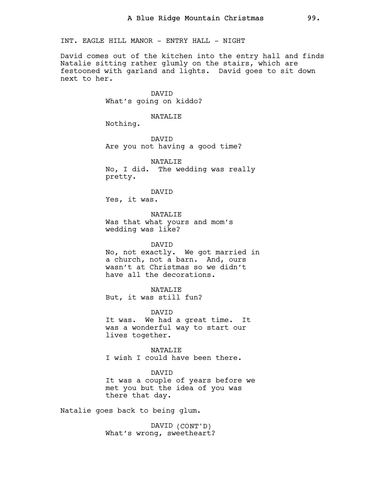INT. EAGLE HILL MANOR - ENTRY HALL - NIGHT

David comes out of the kitchen into the entry hall and finds Natalie sitting rather glumly on the stairs, which are festooned with garland and lights. David goes to sit down next to her.

> DAVID What's going on kiddo?

### NATALIE

Nothing.

DAVID Are you not having a good time?

NATALIF. No, I did. The wedding was really pretty.

DAVID Yes, it was.

NATALIE Was that what yours and mom's wedding was like?

DAVID No, not exactly. We got married in a church, not a barn. And, ours wasn't at Christmas so we didn't have all the decorations.

NATALIE But, it was still fun?

DAVID It was. We had a great time. It was a wonderful way to start our lives together.

NATALIE I wish I could have been there.

DAVID It was a couple of years before we

met you but the idea of you was there that day.

Natalie goes back to being glum.

DAVID (CONT'D) What's wrong, sweetheart?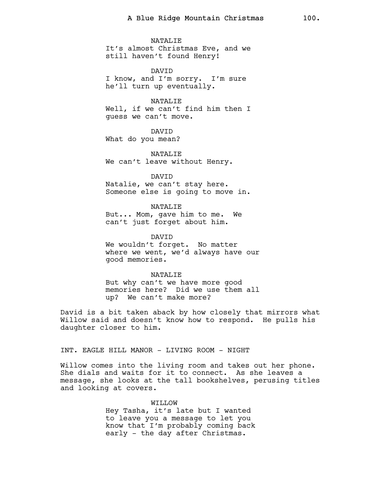NATALIE It's almost Christmas Eve, and we still haven't found Henry!

DAVID I know, and I'm sorry. I'm sure he'll turn up eventually.

NATALIE Well, if we can't find him then I guess we can't move.

DAVID What do you mean?

NATALIE We can't leave without Henry.

DAVID Natalie, we can't stay here. Someone else is going to move in.

NATALIE

But... Mom, gave him to me. We can't just forget about him.

DAVID We wouldn't forget. No matter where we went, we'd always have our good memories.

NATALIE But why can't we have more good memories here? Did we use them all up? We can't make more?

David is a bit taken aback by how closely that mirrors what Willow said and doesn't know how to respond. He pulls his daughter closer to him.

INT. EAGLE HILL MANOR - LIVING ROOM - NIGHT

Willow comes into the living room and takes out her phone. She dials and waits for it to connect. As she leaves a message, she looks at the tall bookshelves, perusing titles and looking at covers.

> WILLOW Hey Tasha, it's late but I wanted to leave you a message to let you know that I'm probably coming back early - the day after Christmas.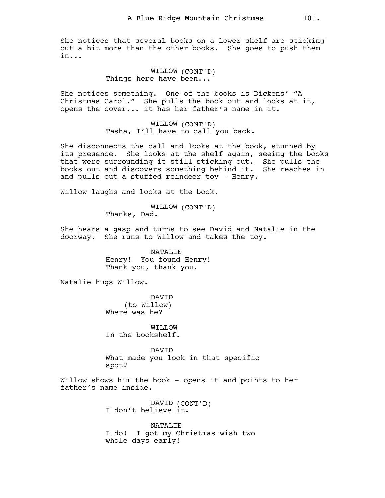She notices that several books on a lower shelf are sticking out a bit more than the other books. She goes to push them in...

> WILLOW (CONT'D) Things here have been...

She notices something. One of the books is Dickens' "A Christmas Carol." She pulls the book out and looks at it, opens the cover... it has her father's name in it.

> WILLOW (CONT'D) Tasha, I'll have to call you back.

She disconnects the call and looks at the book, stunned by its presence. She looks at the shelf again, seeing the books that were surrounding it still sticking out. She pulls the books out and discovers something behind it. She reaches in and pulls out a stuffed reindeer toy - Henry.

Willow laughs and looks at the book.

WILLOW (CONT'D) Thanks, Dad.

She hears a gasp and turns to see David and Natalie in the doorway. She runs to Willow and takes the toy.

> NATALIE Henry! You found Henry! Thank you, thank you.

Natalie hugs Willow.

DAVID (to Willow) Where was he?

WILLOW In the bookshelf.

DAVID What made you look in that specific spot?

Willow shows him the book - opens it and points to her father's name inside.

> DAVID (CONT'D) I don't believe it.

NATALIE I do! I got my Christmas wish two whole days early!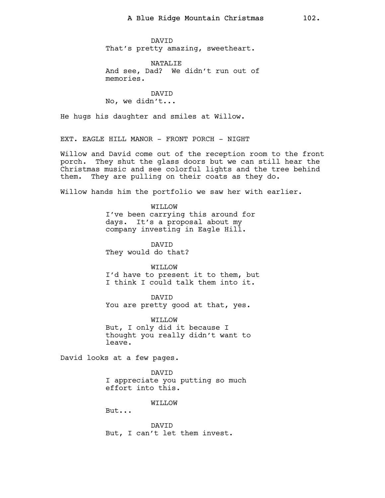DAVID That's pretty amazing, sweetheart.

NATALIE And see, Dad? We didn't run out of memories.

DAVID No, we didn't...

He hugs his daughter and smiles at Willow.

EXT. EAGLE HILL MANOR - FRONT PORCH - NIGHT

Willow and David come out of the reception room to the front porch. They shut the glass doors but we can still hear the Christmas music and see colorful lights and the tree behind them. They are pulling on their coats as they do.

Willow hands him the portfolio we saw her with earlier.

WILLOW I've been carrying this around for days. It's a proposal about my company investing in Eagle Hill.

DAVID They would do that?

WILLOW I'd have to present it to them, but I think I could talk them into it.

DAVID You are pretty good at that, yes.

WILLOW But, I only did it because I thought you really didn't want to leave.

David looks at a few pages.

DAVID I appreciate you putting so much effort into this.

WILLOW

But...

DAVID But, I can't let them invest.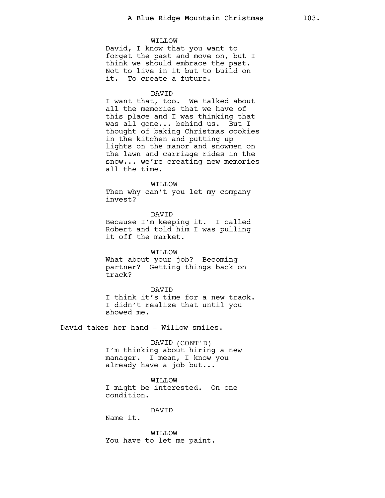### WILLOW

David, I know that you want to forget the past and move on, but I think we should embrace the past. Not to live in it but to build on it. To create a future.

## DAVID

I want that, too. We talked about all the memories that we have of this place and I was thinking that was all gone... behind us. But I thought of baking Christmas cookies in the kitchen and putting up lights on the manor and snowmen on the lawn and carriage rides in the snow... we're creating new memories all the time.

#### WILLOW

Then why can't you let my company invest?

DAVID

Because I'm keeping it. I called Robert and told him I was pulling it off the market.

WILLOW What about your job? Becoming partner? Getting things back on track?

### DAVID

I think it's time for a new track. I didn't realize that until you showed me.

David takes her hand - Willow smiles.

## DAVID (CONT'D)

I'm thinking about hiring a new manager. I mean, I know you already have a job but...

## WILLOW

I might be interested. On one condition.

### DAVID

Name it.

WILLOW You have to let me paint.